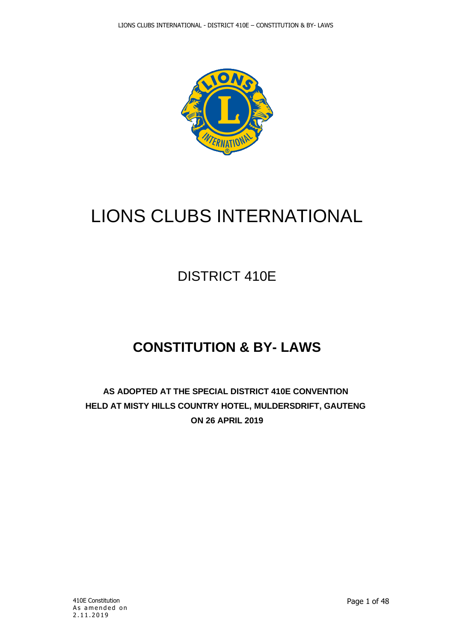

# LIONS CLUBS INTERNATIONAL

## DISTRICT 410E

## **CONSTITUTION & BY- LAWS**

**AS ADOPTED AT THE SPECIAL DISTRICT 410E CONVENTION HELD AT MISTY HILLS COUNTRY HOTEL, MULDERSDRIFT, GAUTENG ON 26 APRIL 2019**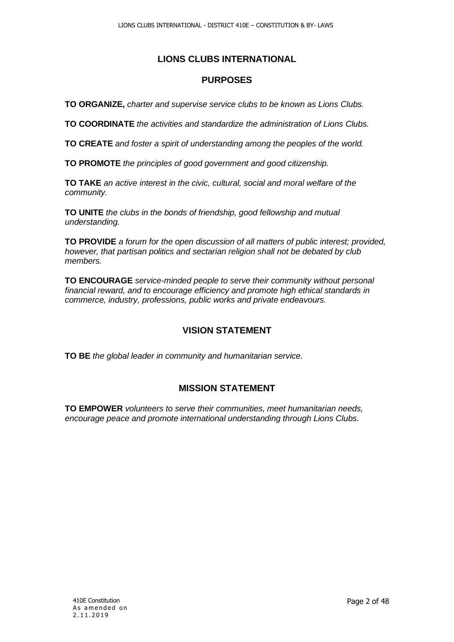## **LIONS CLUBS INTERNATIONAL**

## **PURPOSES**

**TO ORGANIZE,** *charter and supervise service clubs to be known as Lions Clubs.*

**TO COORDINATE** *the activities and standardize the administration of Lions Clubs.*

**TO CREATE** *and foster a spirit of understanding among the peoples of the world.*

**TO PROMOTE** *the principles of good government and good citizenship.*

**TO TAKE** *an active interest in the civic, cultural, social and moral welfare of the community.*

**TO UNITE** *the clubs in the bonds of friendship, good fellowship and mutual understanding.*

**TO PROVIDE** *a forum for the open discussion of all matters of public interest; provided, however, that partisan politics and sectarian religion shall not be debated by club members.*

**TO ENCOURAGE** *service-minded people to serve their community without personal financial reward, and to encourage efficiency and promote high ethical standards in commerce, industry, professions, public works and private endeavours.*

#### **VISION STATEMENT**

**TO BE** *the global leader in community and humanitarian service.*

## **MISSION STATEMENT**

**TO EMPOWER** *volunteers to serve their communities, meet humanitarian needs, encourage peace and promote international understanding through Lions Clubs.*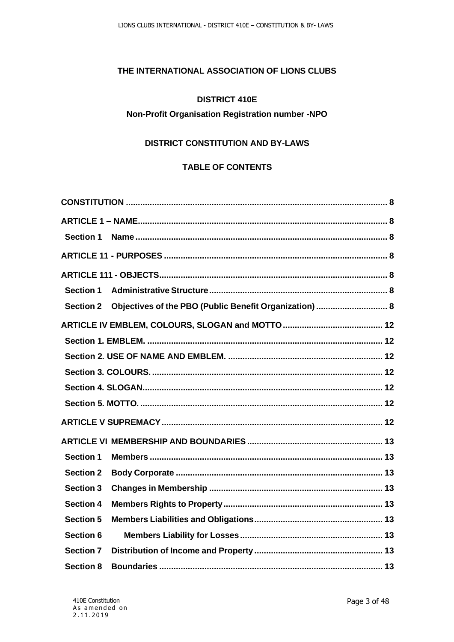#### **THE INTERNATIONAL ASSOCIATION OF LIONS CLUBS**

#### **DISTRICT 410E**

#### **Non-Profit Organisation Registration number -NPO**

## **DISTRICT CONSTITUTION AND BY-LAWS**

## **TABLE OF CONTENTS**

| <b>Section 1</b> |                                                        |
|------------------|--------------------------------------------------------|
|                  |                                                        |
|                  |                                                        |
| <b>Section 1</b> |                                                        |
| <b>Section 2</b> | Objectives of the PBO (Public Benefit Organization)  8 |
|                  |                                                        |
|                  |                                                        |
|                  |                                                        |
|                  |                                                        |
|                  |                                                        |
|                  |                                                        |
|                  |                                                        |
|                  |                                                        |
| <b>Section 1</b> |                                                        |
| <b>Section 2</b> |                                                        |
| <b>Section 3</b> |                                                        |
| <b>Section 4</b> |                                                        |
| <b>Section 5</b> |                                                        |
| <b>Section 6</b> |                                                        |
| <b>Section 7</b> |                                                        |
| <b>Section 8</b> |                                                        |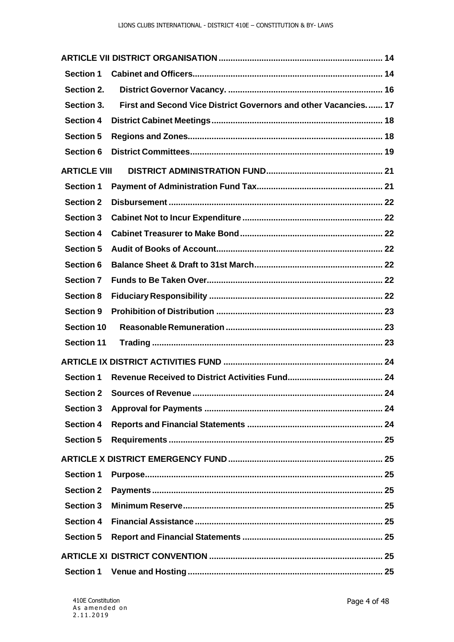| <b>Section 1</b>    |                                                                 |  |
|---------------------|-----------------------------------------------------------------|--|
| Section 2.          |                                                                 |  |
| Section 3.          | First and Second Vice District Governors and other Vacancies 17 |  |
| <b>Section 4</b>    |                                                                 |  |
| <b>Section 5</b>    |                                                                 |  |
| <b>Section 6</b>    |                                                                 |  |
| <b>ARTICLE VIII</b> |                                                                 |  |
| <b>Section 1</b>    |                                                                 |  |
| <b>Section 2</b>    |                                                                 |  |
| <b>Section 3</b>    |                                                                 |  |
| <b>Section 4</b>    |                                                                 |  |
| <b>Section 5</b>    |                                                                 |  |
| <b>Section 6</b>    |                                                                 |  |
| <b>Section 7</b>    |                                                                 |  |
| <b>Section 8</b>    |                                                                 |  |
| <b>Section 9</b>    |                                                                 |  |
| <b>Section 10</b>   |                                                                 |  |
| <b>Section 11</b>   |                                                                 |  |
|                     |                                                                 |  |
| <b>Section 1</b>    |                                                                 |  |
|                     | 24                                                              |  |
| <b>Section 3</b>    |                                                                 |  |
| <b>Section 4</b>    |                                                                 |  |
| <b>Section 5</b>    |                                                                 |  |
|                     |                                                                 |  |
| <b>Section 1</b>    |                                                                 |  |
| <b>Section 2</b>    |                                                                 |  |
| <b>Section 3</b>    |                                                                 |  |
| <b>Section 4</b>    |                                                                 |  |
| <b>Section 5</b>    |                                                                 |  |
|                     |                                                                 |  |
| <b>Section 1</b>    |                                                                 |  |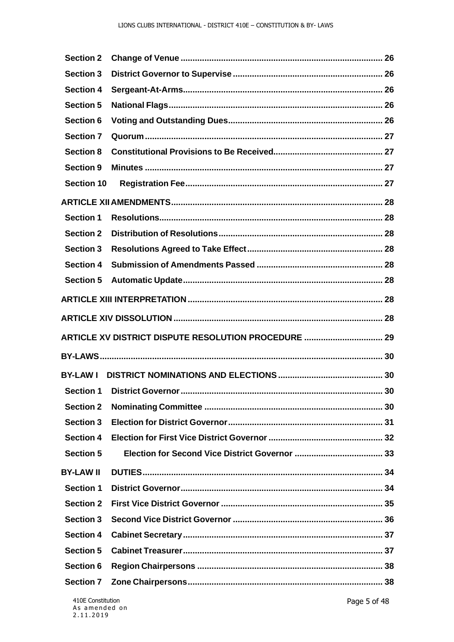| <b>Section 2</b>  |                                                      |  |
|-------------------|------------------------------------------------------|--|
| <b>Section 3</b>  |                                                      |  |
| <b>Section 4</b>  |                                                      |  |
| <b>Section 5</b>  |                                                      |  |
| <b>Section 6</b>  |                                                      |  |
| <b>Section 7</b>  |                                                      |  |
| <b>Section 8</b>  |                                                      |  |
| <b>Section 9</b>  |                                                      |  |
| <b>Section 10</b> |                                                      |  |
|                   |                                                      |  |
| <b>Section 1</b>  |                                                      |  |
| <b>Section 2</b>  |                                                      |  |
| <b>Section 3</b>  |                                                      |  |
| <b>Section 4</b>  |                                                      |  |
| <b>Section 5</b>  |                                                      |  |
|                   |                                                      |  |
|                   |                                                      |  |
|                   | ARTICLE XV DISTRICT DISPUTE RESOLUTION PROCEDURE  29 |  |
|                   |                                                      |  |
| <b>BY-LAWI</b>    |                                                      |  |
| <b>Section 1</b>  |                                                      |  |
| <b>Section 2</b>  |                                                      |  |
| <b>Section 3</b>  |                                                      |  |
| <b>Section 4</b>  |                                                      |  |
| <b>Section 5</b>  |                                                      |  |
| <b>BY-LAW II</b>  |                                                      |  |
| <b>Section 1</b>  |                                                      |  |
| <b>Section 2</b>  |                                                      |  |
|                   |                                                      |  |
| <b>Section 3</b>  |                                                      |  |
| <b>Section 4</b>  |                                                      |  |
| <b>Section 5</b>  |                                                      |  |
| <b>Section 6</b>  |                                                      |  |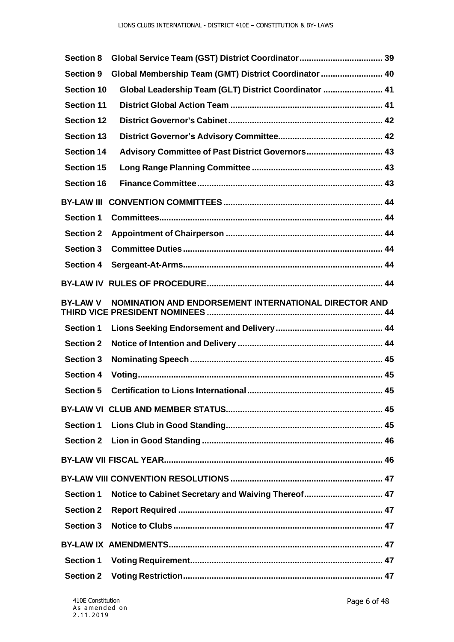| <b>Section 8</b>  |                                                       |  |
|-------------------|-------------------------------------------------------|--|
| <b>Section 9</b>  | Global Membership Team (GMT) District Coordinator  40 |  |
| <b>Section 10</b> | Global Leadership Team (GLT) District Coordinator  41 |  |
| <b>Section 11</b> |                                                       |  |
| <b>Section 12</b> |                                                       |  |
| <b>Section 13</b> |                                                       |  |
| <b>Section 14</b> | Advisory Committee of Past District Governors 43      |  |
| <b>Section 15</b> |                                                       |  |
| <b>Section 16</b> |                                                       |  |
| <b>BY-LAW III</b> |                                                       |  |
| <b>Section 1</b>  |                                                       |  |
| <b>Section 2</b>  |                                                       |  |
| <b>Section 3</b>  |                                                       |  |
| <b>Section 4</b>  |                                                       |  |
|                   |                                                       |  |
| <b>BY-LAW V</b>   | NOMINATION AND ENDORSEMENT INTERNATIONAL DIRECTOR AND |  |
| <b>Section 1</b>  |                                                       |  |
| <b>Section 2</b>  |                                                       |  |
| <b>Section 3</b>  |                                                       |  |
| <b>Section 4</b>  |                                                       |  |
| <b>Section 5</b>  |                                                       |  |
|                   |                                                       |  |
| <b>Section 1</b>  |                                                       |  |
| <b>Section 2</b>  |                                                       |  |
|                   |                                                       |  |
|                   |                                                       |  |
| <b>Section 1</b>  | Notice to Cabinet Secretary and Waiving Thereof 47    |  |
| <b>Section 2</b>  |                                                       |  |
| <b>Section 3</b>  |                                                       |  |
|                   |                                                       |  |
| <b>Section 1</b>  |                                                       |  |
| <b>Section 2</b>  |                                                       |  |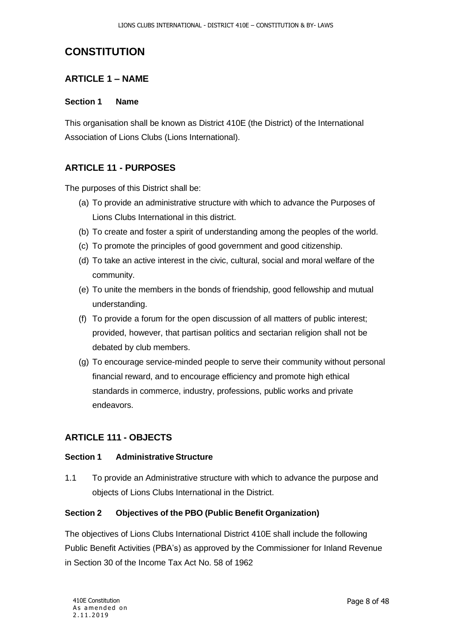## <span id="page-7-0"></span>**CONSTITUTION**

## <span id="page-7-1"></span>**ARTICLE 1 – NAME**

#### <span id="page-7-2"></span>**Section 1 Name**

This organisation shall be known as District 410E (the District) of the International Association of Lions Clubs (Lions International).

## <span id="page-7-3"></span>**ARTICLE 11 - PURPOSES**

The purposes of this District shall be:

- (a) To provide an administrative structure with which to advance the Purposes of Lions Clubs International in this district.
- (b) To create and foster a spirit of understanding among the peoples of the world.
- (c) To promote the principles of good government and good citizenship.
- (d) To take an active interest in the civic, cultural, social and moral welfare of the community.
- (e) To unite the members in the bonds of friendship, good fellowship and mutual understanding.
- (f) To provide a forum for the open discussion of all matters of public interest; provided, however, that partisan politics and sectarian religion shall not be debated by club members.
- (g) To encourage service-minded people to serve their community without personal financial reward, and to encourage efficiency and promote high ethical standards in commerce, industry, professions, public works and private endeavors.

## <span id="page-7-4"></span>**ARTICLE 111 - OBJECTS**

#### <span id="page-7-5"></span>**Section 1 Administrative Structure**

1.1 To provide an Administrative structure with which to advance the purpose and objects of Lions Clubs International in the District.

#### <span id="page-7-6"></span>**Section 2 Objectives of the PBO (Public Benefit Organization)**

The objectives of Lions Clubs International District 410E shall include the following Public Benefit Activities (PBA's) as approved by the Commissioner for Inland Revenue in Section 30 of the Income Tax Act No. 58 of 1962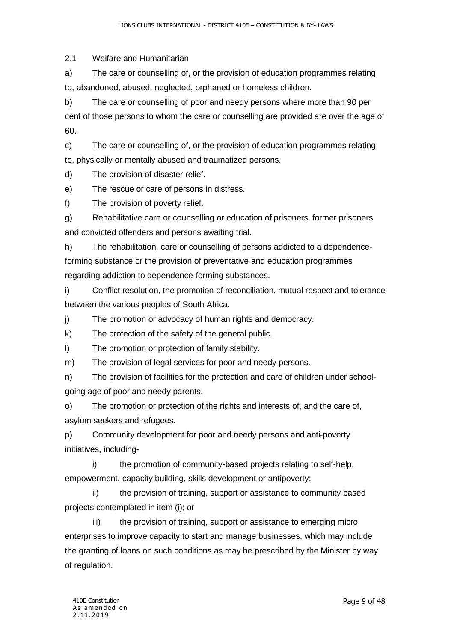2.1 Welfare and Humanitarian

a) The care or counselling of, or the provision of education programmes relating to, abandoned, abused, neglected, orphaned or homeless children.

b) The care or counselling of poor and needy persons where more than 90 per cent of those persons to whom the care or counselling are provided are over the age of 60.

c) The care or counselling of, or the provision of education programmes relating to, physically or mentally abused and traumatized persons.

d) The provision of disaster relief.

e) The rescue or care of persons in distress.

f) The provision of poverty relief.

g) Rehabilitative care or counselling or education of prisoners, former prisoners and convicted offenders and persons awaiting trial.

h) The rehabilitation, care or counselling of persons addicted to a dependenceforming substance or the provision of preventative and education programmes regarding addiction to dependence-forming substances.

i) Conflict resolution, the promotion of reconciliation, mutual respect and tolerance between the various peoples of South Africa.

j) The promotion or advocacy of human rights and democracy.

k) The protection of the safety of the general public.

l) The promotion or protection of family stability.

m) The provision of legal services for poor and needy persons.

n) The provision of facilities for the protection and care of children under schoolgoing age of poor and needy parents.

o) The promotion or protection of the rights and interests of, and the care of, asylum seekers and refugees.

p) Community development for poor and needy persons and anti-poverty initiatives, including-

i) the promotion of community-based projects relating to self-help, empowerment, capacity building, skills development or antipoverty;

ii) the provision of training, support or assistance to community based projects contemplated in item (i); or

iii) the provision of training, support or assistance to emerging micro enterprises to improve capacity to start and manage businesses, which may include the granting of loans on such conditions as may be prescribed by the Minister by way of regulation.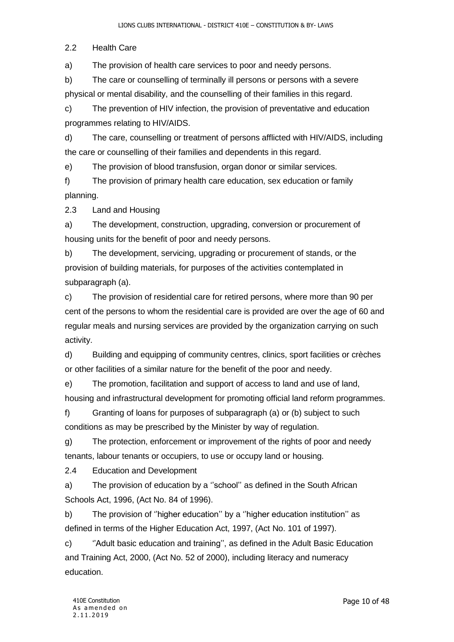2.2 Health Care

a) The provision of health care services to poor and needy persons.

b) The care or counselling of terminally ill persons or persons with a severe physical or mental disability, and the counselling of their families in this regard.

c) The prevention of HIV infection, the provision of preventative and education programmes relating to HIV/AIDS.

d) The care, counselling or treatment of persons afflicted with HIV/AIDS, including the care or counselling of their families and dependents in this regard.

e) The provision of blood transfusion, organ donor or similar services.

f) The provision of primary health care education, sex education or family planning.

2.3 Land and Housing

a) The development, construction, upgrading, conversion or procurement of housing units for the benefit of poor and needy persons.

b) The development, servicing, upgrading or procurement of stands, or the provision of building materials, for purposes of the activities contemplated in subparagraph (a).

c) The provision of residential care for retired persons, where more than 90 per cent of the persons to whom the residential care is provided are over the age of 60 and regular meals and nursing services are provided by the organization carrying on such activity.

d) Building and equipping of community centres, clinics, sport facilities or crèches or other facilities of a similar nature for the benefit of the poor and needy.

e) The promotion, facilitation and support of access to land and use of land, housing and infrastructural development for promoting official land reform programmes.

f) Granting of loans for purposes of subparagraph (a) or (b) subject to such conditions as may be prescribed by the Minister by way of regulation.

g) The protection, enforcement or improvement of the rights of poor and needy tenants, labour tenants or occupiers, to use or occupy land or housing.

2.4 Education and Development

a) The provision of education by a ''school'' as defined in the South African Schools Act, 1996, (Act No. 84 of 1996).

b) The provision of ''higher education'' by a ''higher education institution'' as defined in terms of the Higher Education Act, 1997, (Act No. 101 of 1997).

c) ''Adult basic education and training'', as defined in the Adult Basic Education and Training Act, 2000, (Act No. 52 of 2000), including literacy and numeracy education.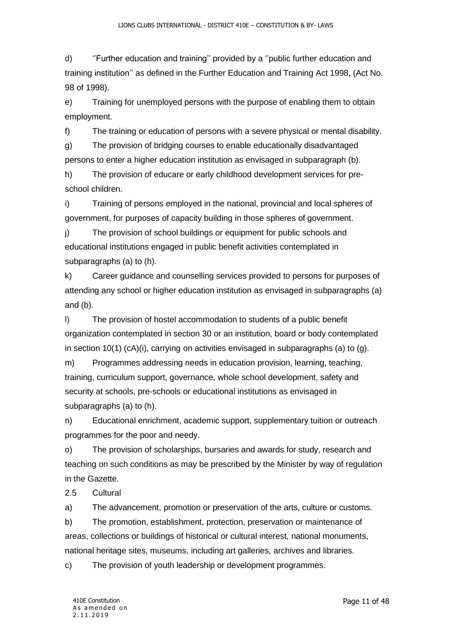d) ''Further education and training'' provided by a ''public further education and training institution'' as defined in the Further Education and Training Act 1998, (Act No. 98 of 1998).

e) Training for unemployed persons with the purpose of enabling them to obtain employment.

f) The training or education of persons with a severe physical or mental disability.

g) The provision of bridging courses to enable educationally disadvantaged persons to enter a higher education institution as envisaged in subparagraph (b).

h) The provision of educare or early childhood development services for preschool children.

i) Training of persons employed in the national, provincial and local spheres of government, for purposes of capacity building in those spheres of government.

j) The provision of school buildings or equipment for public schools and educational institutions engaged in public benefit activities contemplated in subparagraphs (a) to (h).

k) Career guidance and counselling services provided to persons for purposes of attending any school or higher education institution as envisaged in subparagraphs (a) and (b).

l) The provision of hostel accommodation to students of a public benefit organization contemplated in section 30 or an institution, board or body contemplated in section 10(1)  $(cA)(i)$ , carrying on activities envisaged in subparagraphs (a) to (g).

m) Programmes addressing needs in education provision, learning, teaching, training, curriculum support, governance, whole school development, safety and security at schools, pre-schools or educational institutions as envisaged in subparagraphs (a) to (h).

n) Educational enrichment, academic support, supplementary tuition or outreach programmes for the poor and needy.

o) The provision of scholarships, bursaries and awards for study, research and teaching on such conditions as may be prescribed by the Minister by way of regulation in the Gazette.

2.5 Cultural

a) The advancement, promotion or preservation of the arts, culture or customs.

b) The promotion, establishment, protection, preservation or maintenance of areas, collections or buildings of historical or cultural interest, national monuments, national heritage sites, museums, including art galleries, archives and libraries.

c) The provision of youth leadership or development programmes.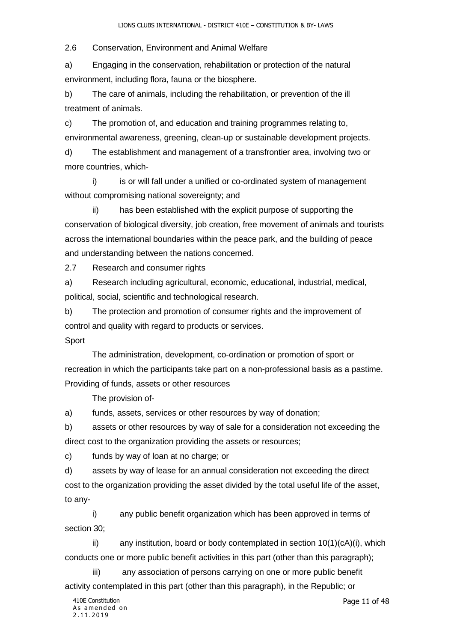2.6 Conservation, Environment and Animal Welfare

a) Engaging in the conservation, rehabilitation or protection of the natural environment, including flora, fauna or the biosphere.

b) The care of animals, including the rehabilitation, or prevention of the ill treatment of animals.

c) The promotion of, and education and training programmes relating to, environmental awareness, greening, clean-up or sustainable development projects.

d) The establishment and management of a transfrontier area, involving two or more countries, which-

i) is or will fall under a unified or co-ordinated system of management without compromising national sovereignty; and

ii) has been established with the explicit purpose of supporting the conservation of biological diversity, job creation, free movement of animals and tourists across the international boundaries within the peace park, and the building of peace and understanding between the nations concerned.

2.7 Research and consumer rights

a) Research including agricultural, economic, educational, industrial, medical, political, social, scientific and technological research.

b) The protection and promotion of consumer rights and the improvement of control and quality with regard to products or services. **Sport** 

The administration, development, co-ordination or promotion of sport or recreation in which the participants take part on a non-professional basis as a pastime. Providing of funds, assets or other resources

The provision of-

a) funds, assets, services or other resources by way of donation;

b) assets or other resources by way of sale for a consideration not exceeding the direct cost to the organization providing the assets or resources;

c) funds by way of loan at no charge; or

d) assets by way of lease for an annual consideration not exceeding the direct cost to the organization providing the asset divided by the total useful life of the asset, to any-

i) any public benefit organization which has been approved in terms of section 30;

ii) any institution, board or body contemplated in section  $10(1)(cA)(i)$ , which conducts one or more public benefit activities in this part (other than this paragraph);

iii) any association of persons carrying on one or more public benefit activity contemplated in this part (other than this paragraph), in the Republic; or

Page 11 of 48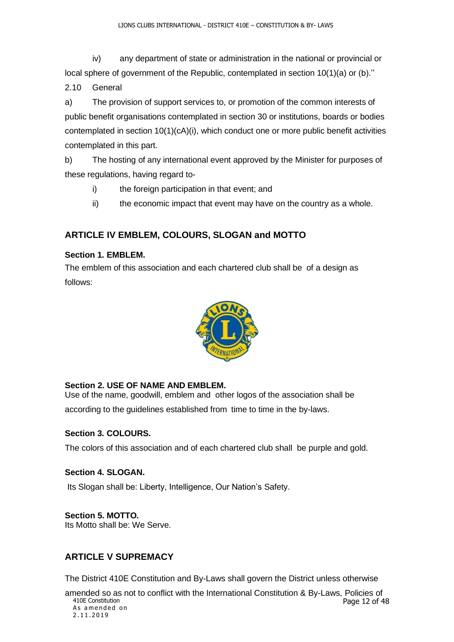iv) any department of state or administration in the national or provincial or local sphere of government of the Republic, contemplated in section  $10(1)(a)$  or (b)."

2.10 General

a) The provision of support services to, or promotion of the common interests of public benefit organisations contemplated in section 30 or institutions, boards or bodies contemplated in section 10(1)(cA)(i), which conduct one or more public benefit activities contemplated in this part.

b) The hosting of any international event approved by the Minister for purposes of these regulations, having regard to-

- i) the foreign participation in that event; and
- ii) the economic impact that event may have on the country as a whole.

## <span id="page-12-0"></span>**ARTICLE IV EMBLEM, COLOURS, SLOGAN and MOTTO**

#### <span id="page-12-1"></span>**Section 1. EMBLEM.**

The emblem of this association and each chartered club shall be of a design as follows:



#### <span id="page-12-2"></span>**Section 2. USE OF NAME AND EMBLEM.**

Use of the name, goodwill, emblem and other logos of the association shall be according to the guidelines established from time to time in the by-laws.

#### <span id="page-12-3"></span>**Section 3. COLOURS.**

The colors of this association and of each chartered club shall be purple and gold.

#### <span id="page-12-4"></span>**Section 4. SLOGAN.**

Its Slogan shall be: Liberty, Intelligence, Our Nation's Safety.

#### <span id="page-12-5"></span>**Section 5. MOTTO.**

Its Motto shall be: We Serve.

## <span id="page-12-6"></span>**ARTICLE V SUPREMACY**

The District 410E Constitution and By-Laws shall govern the District unless otherwise

410E Constitution As amended on 2 . 1 1 . 2 0 19 Page 12 of 48 amended so as not to conflict with the International Constitution & By-Laws, Policies of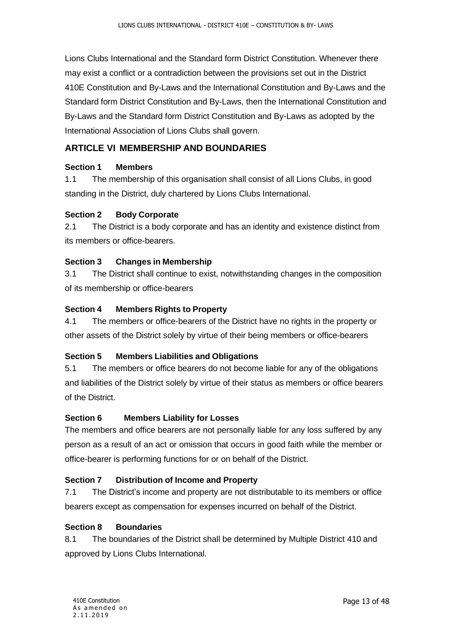Lions Clubs International and the Standard form District Constitution. Whenever there may exist a conflict or a contradiction between the provisions set out in the District 410E Constitution and By-Laws and the International Constitution and By-Laws and the Standard form District Constitution and By-Laws, then the International Constitution and By-Laws and the Standard form District Constitution and By-Laws as adopted by the International Association of Lions Clubs shall govern.

## <span id="page-13-0"></span>**ARTICLE VI MEMBERSHIP AND BOUNDARIES**

#### <span id="page-13-1"></span>**Section 1 Members**

1.1 The membership of this organisation shall consist of all Lions Clubs, in good standing in the District, duly chartered by Lions Clubs International.

#### <span id="page-13-2"></span>**Section 2 Body Corporate**

2.1 The District is a body corporate and has an identity and existence distinct from its members or office-bearers.

#### <span id="page-13-3"></span>**Section 3 Changes in Membership**

3.1 The District shall continue to exist, notwithstanding changes in the composition of its membership or office-bearers

#### <span id="page-13-4"></span>**Section 4 Members Rights to Property**

4.1 The members or office-bearers of the District have no rights in the property or other assets of the District solely by virtue of their being members or office-bearers

#### <span id="page-13-5"></span>**Section 5 Members Liabilities and Obligations**

5.1 The members or office bearers do not become liable for any of the obligations and liabilities of the District solely by virtue of their status as members or office bearers of the District.

#### <span id="page-13-6"></span>**Section 6 Members Liability for Losses**

The members and office bearers are not personally liable for any loss suffered by any person as a result of an act or omission that occurs in good faith while the member or office-bearer is performing functions for or on behalf of the District.

#### <span id="page-13-7"></span>**Section 7 Distribution of Income and Property**

7.1 The District's income and property are not distributable to its members or office bearers except as compensation for expenses incurred on behalf of the District.

#### <span id="page-13-8"></span>**Section 8 Boundaries**

8.1 The boundaries of the District shall be determined by Multiple District 410 and approved by Lions Clubs International.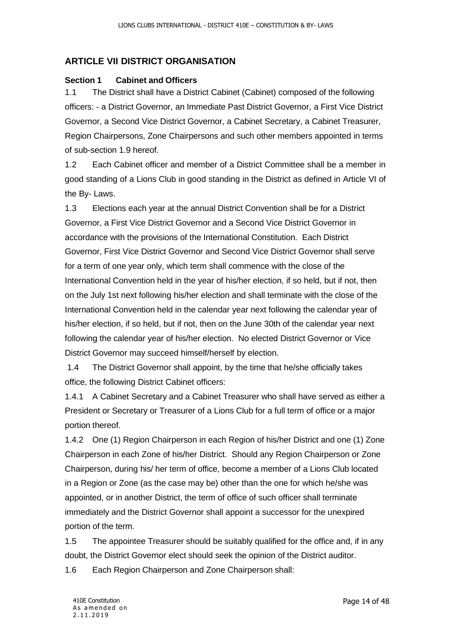## <span id="page-14-0"></span>**ARTICLE VII DISTRICT ORGANISATION**

#### <span id="page-14-1"></span>**Section 1 Cabinet and Officers**

1.1 The District shall have a District Cabinet (Cabinet) composed of the following officers: - a District Governor, an Immediate Past District Governor, a First Vice District Governor, a Second Vice District Governor, a Cabinet Secretary, a Cabinet Treasurer, Region Chairpersons, Zone Chairpersons and such other members appointed in terms of sub-section 1.9 hereof.

1.2 Each Cabinet officer and member of a District Committee shall be a member in good standing of a Lions Club in good standing in the District as defined in Article VI of the By- Laws.

1.3 Elections each year at the annual District Convention shall be for a District Governor, a First Vice District Governor and a Second Vice District Governor in accordance with the provisions of the International Constitution. Each District Governor, First Vice District Governor and Second Vice District Governor shall serve for a term of one year only, which term shall commence with the close of the International Convention held in the year of his/her election, if so held, but if not, then on the July 1st next following his/her election and shall terminate with the close of the International Convention held in the calendar year next following the calendar year of his/her election, if so held, but if not, then on the June 30th of the calendar year next following the calendar year of his/her election. No elected District Governor or Vice District Governor may succeed himself/herself by election.

1.4 The District Governor shall appoint, by the time that he/she officially takes office, the following District Cabinet officers:

1.4.1 A Cabinet Secretary and a Cabinet Treasurer who shall have served as either a President or Secretary or Treasurer of a Lions Club for a full term of office or a major portion thereof.

1.4.2 One (1) Region Chairperson in each Region of his/her District and one (1) Zone Chairperson in each Zone of his/her District. Should any Region Chairperson or Zone Chairperson, during his/ her term of office, become a member of a Lions Club located in a Region or Zone (as the case may be) other than the one for which he/she was appointed, or in another District, the term of office of such officer shall terminate immediately and the District Governor shall appoint a successor for the unexpired portion of the term.

1.5 The appointee Treasurer should be suitably qualified for the office and, if in any doubt, the District Governor elect should seek the opinion of the District auditor.

1.6 Each Region Chairperson and Zone Chairperson shall: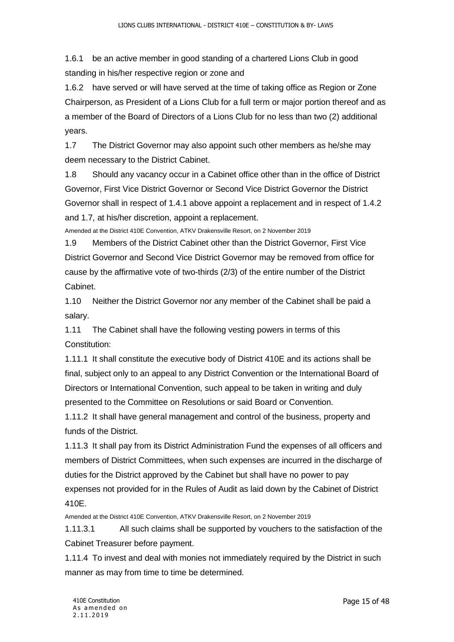1.6.1 be an active member in good standing of a chartered Lions Club in good standing in his/her respective region or zone and

1.6.2 have served or will have served at the time of taking office as Region or Zone Chairperson, as President of a Lions Club for a full term or major portion thereof and as a member of the Board of Directors of a Lions Club for no less than two (2) additional years.

1.7 The District Governor may also appoint such other members as he/she may deem necessary to the District Cabinet.

1.8 Should any vacancy occur in a Cabinet office other than in the office of District Governor, First Vice District Governor or Second Vice District Governor the District Governor shall in respect of 1.4.1 above appoint a replacement and in respect of 1.4.2 and 1.7, at his/her discretion, appoint a replacement.

Amended at the District 410E Convention, ATKV Drakensville Resort, on 2 November 2019

1.9 Members of the District Cabinet other than the District Governor, First Vice District Governor and Second Vice District Governor may be removed from office for cause by the affirmative vote of two-thirds (2/3) of the entire number of the District Cabinet.

1.10 Neither the District Governor nor any member of the Cabinet shall be paid a salary.

1.11 The Cabinet shall have the following vesting powers in terms of this Constitution:

1.11.1 It shall constitute the executive body of District 410E and its actions shall be final, subject only to an appeal to any District Convention or the International Board of Directors or International Convention, such appeal to be taken in writing and duly presented to the Committee on Resolutions or said Board or Convention.

1.11.2 It shall have general management and control of the business, property and funds of the District.

1.11.3 It shall pay from its District Administration Fund the expenses of all officers and members of District Committees, when such expenses are incurred in the discharge of duties for the District approved by the Cabinet but shall have no power to pay expenses not provided for in the Rules of Audit as laid down by the Cabinet of District 410E.

Amended at the District 410E Convention, ATKV Drakensville Resort, on 2 November 2019

1.11.3.1 All such claims shall be supported by vouchers to the satisfaction of the Cabinet Treasurer before payment.

1.11.4 To invest and deal with monies not immediately required by the District in such manner as may from time to time be determined.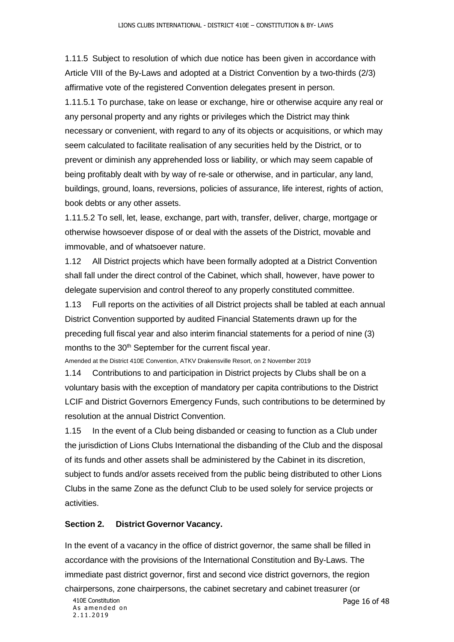1.11.5 Subject to resolution of which due notice has been given in accordance with Article VIII of the By-Laws and adopted at a District Convention by a two-thirds (2/3) affirmative vote of the registered Convention delegates present in person. 1.11.5.1 To purchase, take on lease or exchange, hire or otherwise acquire any real or any personal property and any rights or privileges which the District may think necessary or convenient, with regard to any of its objects or acquisitions, or which may seem calculated to facilitate realisation of any securities held by the District, or to prevent or diminish any apprehended loss or liability, or which may seem capable of being profitably dealt with by way of re-sale or otherwise, and in particular, any land, buildings, ground, loans, reversions, policies of assurance, life interest, rights of action, book debts or any other assets.

1.11.5.2 To sell, let, lease, exchange, part with, transfer, deliver, charge, mortgage or otherwise howsoever dispose of or deal with the assets of the District, movable and immovable, and of whatsoever nature.

1.12 All District projects which have been formally adopted at a District Convention shall fall under the direct control of the Cabinet, which shall, however, have power to delegate supervision and control thereof to any properly constituted committee.

1.13 Full reports on the activities of all District projects shall be tabled at each annual District Convention supported by audited Financial Statements drawn up for the preceding full fiscal year and also interim financial statements for a period of nine (3) months to the 30<sup>th</sup> September for the current fiscal year.

Amended at the District 410E Convention, ATKV Drakensville Resort, on 2 November 2019

1.14 Contributions to and participation in District projects by Clubs shall be on a voluntary basis with the exception of mandatory per capita contributions to the District LCIF and District Governors Emergency Funds, such contributions to be determined by resolution at the annual District Convention.

1.15 In the event of a Club being disbanded or ceasing to function as a Club under the jurisdiction of Lions Clubs International the disbanding of the Club and the disposal of its funds and other assets shall be administered by the Cabinet in its discretion, subject to funds and/or assets received from the public being distributed to other Lions Clubs in the same Zone as the defunct Club to be used solely for service projects or activities.

#### <span id="page-16-0"></span>**Section 2. District Governor Vacancy.**

In the event of a vacancy in the office of district governor, the same shall be filled in accordance with the provisions of the International Constitution and By-Laws. The immediate past district governor, first and second vice district governors, the region chairpersons, zone chairpersons, the cabinet secretary and cabinet treasurer (or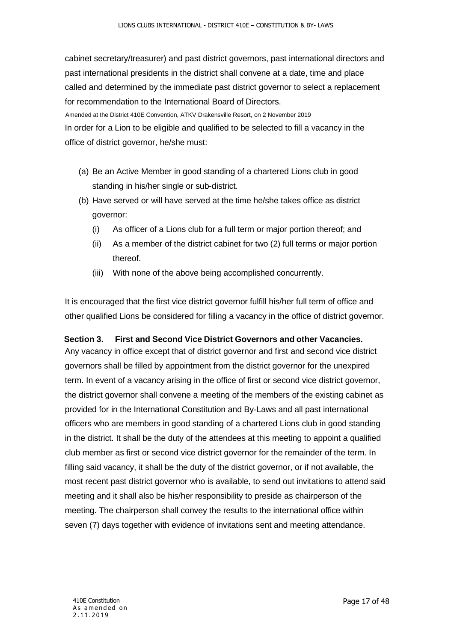cabinet secretary/treasurer) and past district governors, past international directors and past international presidents in the district shall convene at a date, time and place called and determined by the immediate past district governor to select a replacement for recommendation to the International Board of Directors.

 Amended at the District 410E Convention, ATKV Drakensville Resort, on 2 November 2019 In order for a Lion to be eligible and qualified to be selected to fill a vacancy in the office of district governor, he/she must:

- (a) Be an Active Member in good standing of a chartered Lions club in good standing in his/her single or sub-district.
- (b) Have served or will have served at the time he/she takes office as district governor:
	- (i) As officer of a Lions club for a full term or major portion thereof; and
	- (ii) As a member of the district cabinet for two (2) full terms or major portion thereof.
	- (iii) With none of the above being accomplished concurrently.

It is encouraged that the first vice district governor fulfill his/her full term of office and other qualified Lions be considered for filling a vacancy in the office of district governor.

#### <span id="page-17-0"></span>**Section 3. First and Second Vice District Governors and other Vacancies.**

Any vacancy in office except that of district governor and first and second vice district governors shall be filled by appointment from the district governor for the unexpired term. In event of a vacancy arising in the office of first or second vice district governor, the district governor shall convene a meeting of the members of the existing cabinet as provided for in the International Constitution and By-Laws and all past international officers who are members in good standing of a chartered Lions club in good standing in the district. It shall be the duty of the attendees at this meeting to appoint a qualified club member as first or second vice district governor for the remainder of the term. In filling said vacancy, it shall be the duty of the district governor, or if not available, the most recent past district governor who is available, to send out invitations to attend said meeting and it shall also be his/her responsibility to preside as chairperson of the meeting. The chairperson shall convey the results to the international office within seven (7) days together with evidence of invitations sent and meeting attendance.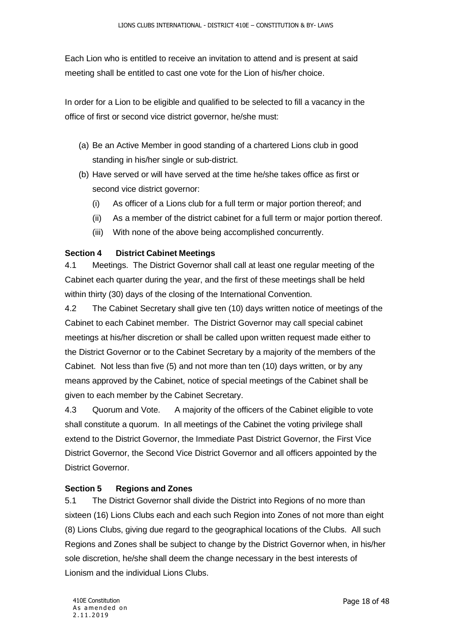Each Lion who is entitled to receive an invitation to attend and is present at said meeting shall be entitled to cast one vote for the Lion of his/her choice.

In order for a Lion to be eligible and qualified to be selected to fill a vacancy in the office of first or second vice district governor, he/she must:

- (a) Be an Active Member in good standing of a chartered Lions club in good standing in his/her single or sub-district.
- (b) Have served or will have served at the time he/she takes office as first or second vice district governor:
	- (i) As officer of a Lions club for a full term or major portion thereof; and
	- (ii) As a member of the district cabinet for a full term or major portion thereof.
	- (iii) With none of the above being accomplished concurrently.

## <span id="page-18-0"></span>**Section 4 District Cabinet Meetings**

4.1 Meetings. The District Governor shall call at least one regular meeting of the Cabinet each quarter during the year, and the first of these meetings shall be held within thirty (30) days of the closing of the International Convention.

4.2 The Cabinet Secretary shall give ten (10) days written notice of meetings of the Cabinet to each Cabinet member. The District Governor may call special cabinet meetings at his/her discretion or shall be called upon written request made either to the District Governor or to the Cabinet Secretary by a majority of the members of the Cabinet. Not less than five (5) and not more than ten (10) days written, or by any means approved by the Cabinet, notice of special meetings of the Cabinet shall be given to each member by the Cabinet Secretary.

4.3 Quorum and Vote. A majority of the officers of the Cabinet eligible to vote shall constitute a quorum. In all meetings of the Cabinet the voting privilege shall extend to the District Governor, the Immediate Past District Governor, the First Vice District Governor, the Second Vice District Governor and all officers appointed by the District Governor.

## <span id="page-18-1"></span>**Section 5 Regions and Zones**

5.1 The District Governor shall divide the District into Regions of no more than sixteen (16) Lions Clubs each and each such Region into Zones of not more than eight (8) Lions Clubs, giving due regard to the geographical locations of the Clubs. All such Regions and Zones shall be subject to change by the District Governor when, in his/her sole discretion, he/she shall deem the change necessary in the best interests of Lionism and the individual Lions Clubs.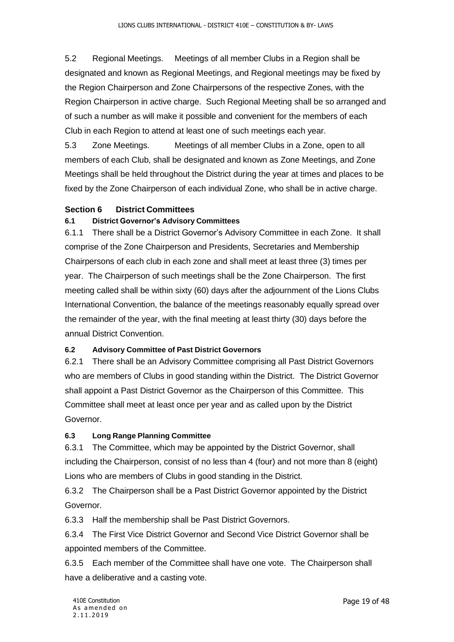5.2 Regional Meetings. Meetings of all member Clubs in a Region shall be designated and known as Regional Meetings, and Regional meetings may be fixed by the Region Chairperson and Zone Chairpersons of the respective Zones, with the Region Chairperson in active charge. Such Regional Meeting shall be so arranged and of such a number as will make it possible and convenient for the members of each Club in each Region to attend at least one of such meetings each year.

5.3 Zone Meetings. Meetings of all member Clubs in a Zone, open to all members of each Club, shall be designated and known as Zone Meetings, and Zone Meetings shall be held throughout the District during the year at times and places to be fixed by the Zone Chairperson of each individual Zone, who shall be in active charge.

#### <span id="page-19-0"></span>**Section 6 District Committees**

#### **6.1 District Governor's Advisory Committees**

6.1.1 There shall be a District Governor's Advisory Committee in each Zone. It shall comprise of the Zone Chairperson and Presidents, Secretaries and Membership Chairpersons of each club in each zone and shall meet at least three (3) times per year. The Chairperson of such meetings shall be the Zone Chairperson. The first meeting called shall be within sixty (60) days after the adjournment of the Lions Clubs International Convention, the balance of the meetings reasonably equally spread over the remainder of the year, with the final meeting at least thirty (30) days before the annual District Convention.

#### **6.2 Advisory Committee of Past District Governors**

6.2.1 There shall be an Advisory Committee comprising all Past District Governors who are members of Clubs in good standing within the District. The District Governor shall appoint a Past District Governor as the Chairperson of this Committee. This Committee shall meet at least once per year and as called upon by the District Governor.

#### **6.3 Long Range Planning Committee**

6.3.1 The Committee, which may be appointed by the District Governor, shall including the Chairperson, consist of no less than 4 (four) and not more than 8 (eight) Lions who are members of Clubs in good standing in the District.

6.3.2 The Chairperson shall be a Past District Governor appointed by the District Governor.

6.3.3 Half the membership shall be Past District Governors.

6.3.4 The First Vice District Governor and Second Vice District Governor shall be appointed members of the Committee.

6.3.5 Each member of the Committee shall have one vote. The Chairperson shall have a deliberative and a casting vote.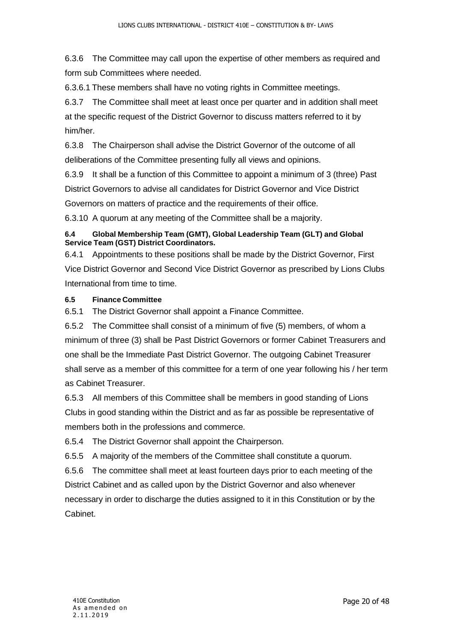6.3.6 The Committee may call upon the expertise of other members as required and form sub Committees where needed.

6.3.6.1 These members shall have no voting rights in Committee meetings.

6.3.7 The Committee shall meet at least once per quarter and in addition shall meet at the specific request of the District Governor to discuss matters referred to it by him/her.

6.3.8 The Chairperson shall advise the District Governor of the outcome of all deliberations of the Committee presenting fully all views and opinions.

6.3.9 It shall be a function of this Committee to appoint a minimum of 3 (three) Past District Governors to advise all candidates for District Governor and Vice District Governors on matters of practice and the requirements of their office.

6.3.10 A quorum at any meeting of the Committee shall be a majority.

#### **6.4 Global Membership Team (GMT), Global Leadership Team (GLT) and Global Service Team (GST) District Coordinators.**

6.4.1 Appointments to these positions shall be made by the District Governor, First Vice District Governor and Second Vice District Governor as prescribed by Lions Clubs International from time to time.

#### **6.5 Finance Committee**

6.5.1 The District Governor shall appoint a Finance Committee.

6.5.2 The Committee shall consist of a minimum of five (5) members, of whom a minimum of three (3) shall be Past District Governors or former Cabinet Treasurers and one shall be the Immediate Past District Governor. The outgoing Cabinet Treasurer shall serve as a member of this committee for a term of one year following his / her term as Cabinet Treasurer.

6.5.3 All members of this Committee shall be members in good standing of Lions Clubs in good standing within the District and as far as possible be representative of members both in the professions and commerce.

6.5.4 The District Governor shall appoint the Chairperson.

6.5.5 A majority of the members of the Committee shall constitute a quorum.

6.5.6 The committee shall meet at least fourteen days prior to each meeting of the District Cabinet and as called upon by the District Governor and also whenever necessary in order to discharge the duties assigned to it in this Constitution or by the Cabinet.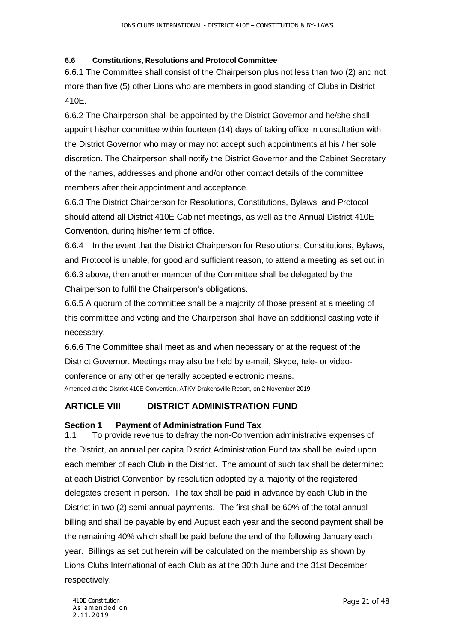#### **6.6 Constitutions, Resolutions and Protocol Committee**

6.6.1 The Committee shall consist of the Chairperson plus not less than two (2) and not more than five (5) other Lions who are members in good standing of Clubs in District 410E.

6.6.2 The Chairperson shall be appointed by the District Governor and he/she shall appoint his/her committee within fourteen (14) days of taking office in consultation with the District Governor who may or may not accept such appointments at his / her sole discretion. The Chairperson shall notify the District Governor and the Cabinet Secretary of the names, addresses and phone and/or other contact details of the committee members after their appointment and acceptance.

6.6.3 The District Chairperson for Resolutions, Constitutions, Bylaws, and Protocol should attend all District 410E Cabinet meetings, as well as the Annual District 410E Convention, during his/her term of office.

6.6.4 In the event that the District Chairperson for Resolutions, Constitutions, Bylaws, and Protocol is unable, for good and sufficient reason, to attend a meeting as set out in 6.6.3 above, then another member of the Committee shall be delegated by the Chairperson to fulfil the Chairperson's obligations.

6.6.5 A quorum of the committee shall be a majority of those present at a meeting of this committee and voting and the Chairperson shall have an additional casting vote if necessary.

6.6.6 The Committee shall meet as and when necessary or at the request of the District Governor. Meetings may also be held by e-mail, Skype, tele- or videoconference or any other generally accepted electronic means. Amended at the District 410E Convention, ATKV Drakensville Resort, on 2 November 2019

## <span id="page-21-0"></span>**ARTICLE VIII DISTRICT ADMINISTRATION FUND**

#### <span id="page-21-1"></span>**Section 1 Payment of Administration Fund Tax**

1.1 To provide revenue to defray the non-Convention administrative expenses of the District, an annual per capita District Administration Fund tax shall be levied upon each member of each Club in the District. The amount of such tax shall be determined at each District Convention by resolution adopted by a majority of the registered delegates present in person. The tax shall be paid in advance by each Club in the District in two (2) semi-annual payments. The first shall be 60% of the total annual billing and shall be payable by end August each year and the second payment shall be the remaining 40% which shall be paid before the end of the following January each year. Billings as set out herein will be calculated on the membership as shown by Lions Clubs International of each Club as at the 30th June and the 31st December respectively.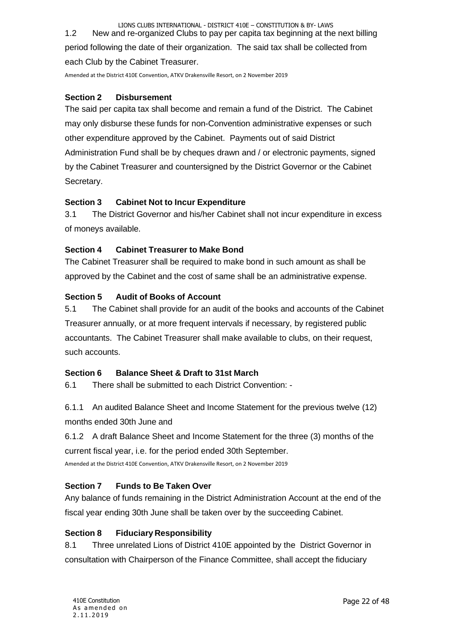LIONS CLUBS INTERNATIONAL - DISTRICT 410E – CONSTITUTION & BY- LAWS 1.2 New and re-organized Clubs to pay per capita tax beginning at the next billing period following the date of their organization. The said tax shall be collected from

each Club by the Cabinet Treasurer.

Amended at the District 410E Convention, ATKV Drakensville Resort, on 2 November 2019

### <span id="page-22-0"></span>**Section 2 Disbursement**

The said per capita tax shall become and remain a fund of the District. The Cabinet may only disburse these funds for non-Convention administrative expenses or such other expenditure approved by the Cabinet. Payments out of said District Administration Fund shall be by cheques drawn and / or electronic payments, signed by the Cabinet Treasurer and countersigned by the District Governor or the Cabinet Secretary.

## <span id="page-22-1"></span>**Section 3 Cabinet Not to Incur Expenditure**

3.1 The District Governor and his/her Cabinet shall not incur expenditure in excess of moneys available.

## <span id="page-22-2"></span>**Section 4 Cabinet Treasurer to Make Bond**

The Cabinet Treasurer shall be required to make bond in such amount as shall be approved by the Cabinet and the cost of same shall be an administrative expense.

## <span id="page-22-3"></span>**Section 5 Audit of Books of Account**

5.1 The Cabinet shall provide for an audit of the books and accounts of the Cabinet Treasurer annually, or at more frequent intervals if necessary, by registered public accountants. The Cabinet Treasurer shall make available to clubs, on their request, such accounts.

#### <span id="page-22-4"></span>**Section 6 Balance Sheet & Draft to 31st March**

6.1 There shall be submitted to each District Convention: -

6.1.1 An audited Balance Sheet and Income Statement for the previous twelve (12) months ended 30th June and

6.1.2 A draft Balance Sheet and Income Statement for the three (3) months of the current fiscal year, i.e. for the period ended 30th September.

Amended at the District 410E Convention, ATKV Drakensville Resort, on 2 November 2019

## <span id="page-22-5"></span>**Section 7 Funds to Be Taken Over**

Any balance of funds remaining in the District Administration Account at the end of the fiscal year ending 30th June shall be taken over by the succeeding Cabinet.

## <span id="page-22-6"></span>**Section 8 Fiduciary Responsibility**

8.1 Three unrelated Lions of District 410E appointed by the District Governor in consultation with Chairperson of the Finance Committee, shall accept the fiduciary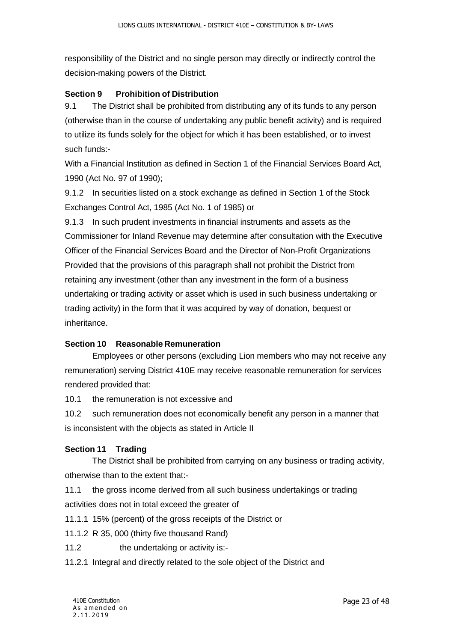responsibility of the District and no single person may directly or indirectly control the decision-making powers of the District.

#### <span id="page-23-0"></span>**Section 9 Prohibition of Distribution**

9.1 The District shall be prohibited from distributing any of its funds to any person (otherwise than in the course of undertaking any public benefit activity) and is required to utilize its funds solely for the object for which it has been established, or to invest such funds:-

With a Financial Institution as defined in Section 1 of the Financial Services Board Act, 1990 (Act No. 97 of 1990);

9.1.2 In securities listed on a stock exchange as defined in Section 1 of the Stock Exchanges Control Act, 1985 (Act No. 1 of 1985) or

9.1.3 In such prudent investments in financial instruments and assets as the Commissioner for Inland Revenue may determine after consultation with the Executive Officer of the Financial Services Board and the Director of Non-Profit Organizations Provided that the provisions of this paragraph shall not prohibit the District from retaining any investment (other than any investment in the form of a business undertaking or trading activity or asset which is used in such business undertaking or trading activity) in the form that it was acquired by way of donation, bequest or inheritance.

#### <span id="page-23-1"></span>**Section 10 Reasonable Remuneration**

Employees or other persons (excluding Lion members who may not receive any remuneration) serving District 410E may receive reasonable remuneration for services rendered provided that:

10.1 the remuneration is not excessive and

10.2 such remuneration does not economically benefit any person in a manner that is inconsistent with the objects as stated in Article II

#### <span id="page-23-2"></span>**Section 11 Trading**

The District shall be prohibited from carrying on any business or trading activity, otherwise than to the extent that:-

11.1 the gross income derived from all such business undertakings or trading activities does not in total exceed the greater of

11.1.1 15% (percent) of the gross receipts of the District or

11.1.2 R 35, 000 (thirty five thousand Rand)

11.2 the undertaking or activity is:-

11.2.1 Integral and directly related to the sole object of the District and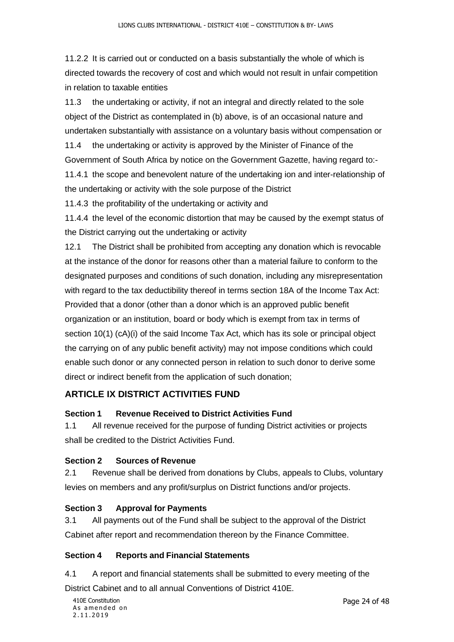11.2.2 It is carried out or conducted on a basis substantially the whole of which is directed towards the recovery of cost and which would not result in unfair competition in relation to taxable entities

11.3 the undertaking or activity, if not an integral and directly related to the sole object of the District as contemplated in (b) above, is of an occasional nature and undertaken substantially with assistance on a voluntary basis without compensation or

11.4 the undertaking or activity is approved by the Minister of Finance of the Government of South Africa by notice on the Government Gazette, having regard to:-

11.4.1 the scope and benevolent nature of the undertaking ion and inter-relationship of the undertaking or activity with the sole purpose of the District

11.4.3 the profitability of the undertaking or activity and

11.4.4 the level of the economic distortion that may be caused by the exempt status of the District carrying out the undertaking or activity

12.1 The District shall be prohibited from accepting any donation which is revocable at the instance of the donor for reasons other than a material failure to conform to the designated purposes and conditions of such donation, including any misrepresentation with regard to the tax deductibility thereof in terms section 18A of the Income Tax Act: Provided that a donor (other than a donor which is an approved public benefit organization or an institution, board or body which is exempt from tax in terms of section 10(1) (cA)(i) of the said Income Tax Act, which has its sole or principal object the carrying on of any public benefit activity) may not impose conditions which could enable such donor or any connected person in relation to such donor to derive some direct or indirect benefit from the application of such donation;

## <span id="page-24-0"></span>**ARTICLE IX DISTRICT ACTIVITIES FUND**

#### <span id="page-24-1"></span>**Section 1 Revenue Received to District Activities Fund**

1.1 All revenue received for the purpose of funding District activities or projects shall be credited to the District Activities Fund.

#### <span id="page-24-2"></span>**Section 2 Sources of Revenue**

2.1 Revenue shall be derived from donations by Clubs, appeals to Clubs, voluntary levies on members and any profit/surplus on District functions and/or projects.

#### <span id="page-24-3"></span>**Section 3 Approval for Payments**

3.1 All payments out of the Fund shall be subject to the approval of the District Cabinet after report and recommendation thereon by the Finance Committee.

### <span id="page-24-4"></span>**Section 4 Reports and Financial Statements**

4.1 A report and financial statements shall be submitted to every meeting of the

District Cabinet and to all annual Conventions of District 410E.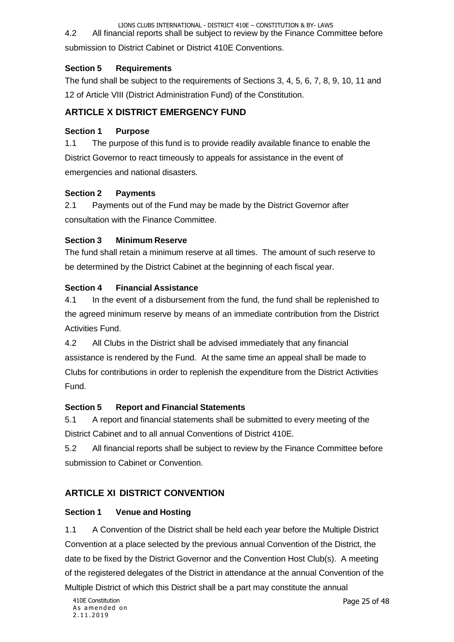LIONS CLUBS INTERNATIONAL - DISTRICT 410E – CONSTITUTION & BY- LAWS 4.2 All financial reports shall be subject to review by the Finance Committee before

submission to District Cabinet or District 410E Conventions.

#### <span id="page-25-0"></span>**Section 5 Requirements**

The fund shall be subject to the requirements of Sections 3, 4, 5, 6, 7, 8, 9, 10, 11 and 12 of Article VIII (District Administration Fund) of the Constitution.

## <span id="page-25-1"></span>**ARTICLE X DISTRICT EMERGENCY FUND**

#### <span id="page-25-2"></span>**Section 1 Purpose**

1.1 The purpose of this fund is to provide readily available finance to enable the District Governor to react timeously to appeals for assistance in the event of emergencies and national disasters.

#### <span id="page-25-3"></span>**Section 2 Payments**

2.1 Payments out of the Fund may be made by the District Governor after consultation with the Finance Committee.

#### <span id="page-25-4"></span>**Section 3 Minimum Reserve**

The fund shall retain a minimum reserve at all times. The amount of such reserve to be determined by the District Cabinet at the beginning of each fiscal year.

#### <span id="page-25-5"></span>**Section 4 Financial Assistance**

4.1 In the event of a disbursement from the fund, the fund shall be replenished to the agreed minimum reserve by means of an immediate contribution from the District Activities Fund.

4.2 All Clubs in the District shall be advised immediately that any financial assistance is rendered by the Fund. At the same time an appeal shall be made to Clubs for contributions in order to replenish the expenditure from the District Activities Fund.

#### <span id="page-25-6"></span>**Section 5 Report and Financial Statements**

5.1 A report and financial statements shall be submitted to every meeting of the District Cabinet and to all annual Conventions of District 410E.

5.2 All financial reports shall be subject to review by the Finance Committee before submission to Cabinet or Convention.

## <span id="page-25-7"></span>**ARTICLE XI DISTRICT CONVENTION**

#### <span id="page-25-8"></span>**Section 1 Venue and Hosting**

1.1 A Convention of the District shall be held each year before the Multiple District Convention at a place selected by the previous annual Convention of the District, the date to be fixed by the District Governor and the Convention Host Club(s). A meeting of the registered delegates of the District in attendance at the annual Convention of the Multiple District of which this District shall be a part may constitute the annual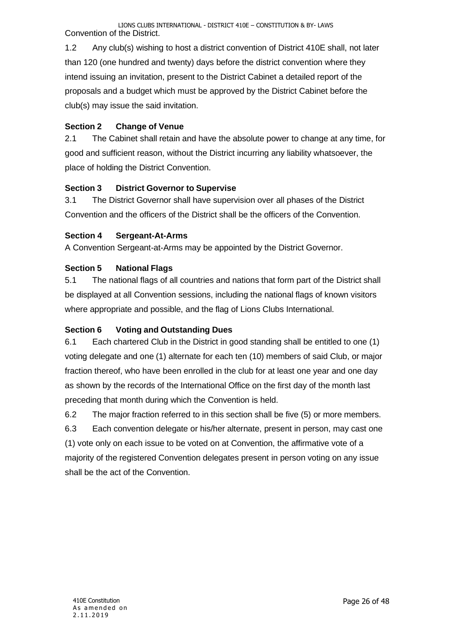1.2 Any club(s) wishing to host a district convention of District 410E shall, not later than 120 (one hundred and twenty) days before the district convention where they intend issuing an invitation, present to the District Cabinet a detailed report of the proposals and a budget which must be approved by the District Cabinet before the club(s) may issue the said invitation.

## <span id="page-26-0"></span>**Section 2 Change of Venue**

2.1 The Cabinet shall retain and have the absolute power to change at any time, for good and sufficient reason, without the District incurring any liability whatsoever, the place of holding the District Convention.

## <span id="page-26-1"></span>**Section 3 District Governor to Supervise**

3.1 The District Governor shall have supervision over all phases of the District Convention and the officers of the District shall be the officers of the Convention.

## <span id="page-26-2"></span>**Section 4 Sergeant-At-Arms**

A Convention Sergeant-at-Arms may be appointed by the District Governor.

## <span id="page-26-3"></span>**Section 5 National Flags**

5.1 The national flags of all countries and nations that form part of the District shall be displayed at all Convention sessions, including the national flags of known visitors where appropriate and possible, and the flag of Lions Clubs International.

#### <span id="page-26-4"></span>**Section 6 Voting and Outstanding Dues**

6.1 Each chartered Club in the District in good standing shall be entitled to one (1) voting delegate and one (1) alternate for each ten (10) members of said Club, or major fraction thereof, who have been enrolled in the club for at least one year and one day as shown by the records of the International Office on the first day of the month last preceding that month during which the Convention is held.

6.2 The major fraction referred to in this section shall be five (5) or more members.

6.3 Each convention delegate or his/her alternate, present in person, may cast one (1) vote only on each issue to be voted on at Convention, the affirmative vote of a majority of the registered Convention delegates present in person voting on any issue shall be the act of the Convention.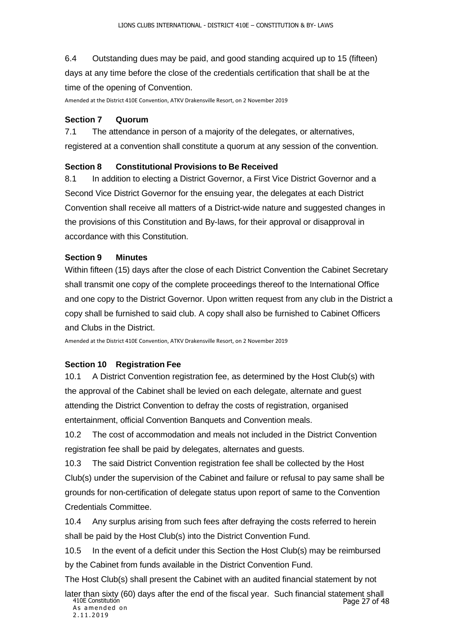6.4 Outstanding dues may be paid, and good standing acquired up to 15 (fifteen) days at any time before the close of the credentials certification that shall be at the time of the opening of Convention.

Amended at the District 410E Convention, ATKV Drakensville Resort, on 2 November 2019

#### <span id="page-27-0"></span>**Section 7 Quorum**

7.1 The attendance in person of a majority of the delegates, or alternatives, registered at a convention shall constitute a quorum at any session of the convention.

#### <span id="page-27-1"></span>**Section 8 Constitutional Provisions to Be Received**

8.1 In addition to electing a District Governor, a First Vice District Governor and a Second Vice District Governor for the ensuing year, the delegates at each District Convention shall receive all matters of a District-wide nature and suggested changes in the provisions of this Constitution and By-laws, for their approval or disapproval in accordance with this Constitution.

#### <span id="page-27-2"></span>**Section 9 Minutes**

Within fifteen (15) days after the close of each District Convention the Cabinet Secretary shall transmit one copy of the complete proceedings thereof to the International Office and one copy to the District Governor. Upon written request from any club in the District a copy shall be furnished to said club. A copy shall also be furnished to Cabinet Officers and Clubs in the District.

Amended at the District 410E Convention, ATKV Drakensville Resort, on 2 November 2019

#### <span id="page-27-3"></span>**Section 10 Registration Fee**

10.1 A District Convention registration fee, as determined by the Host Club(s) with the approval of the Cabinet shall be levied on each delegate, alternate and guest attending the District Convention to defray the costs of registration, organised entertainment, official Convention Banquets and Convention meals.

10.2 The cost of accommodation and meals not included in the District Convention registration fee shall be paid by delegates, alternates and guests.

10.3 The said District Convention registration fee shall be collected by the Host Club(s) under the supervision of the Cabinet and failure or refusal to pay same shall be grounds for non-certification of delegate status upon report of same to the Convention Credentials Committee.

10.4 Any surplus arising from such fees after defraying the costs referred to herein shall be paid by the Host Club(s) into the District Convention Fund.

10.5 In the event of a deficit under this Section the Host Club(s) may be reimbursed by the Cabinet from funds available in the District Convention Fund.

The Host Club(s) shall present the Cabinet with an audited financial statement by not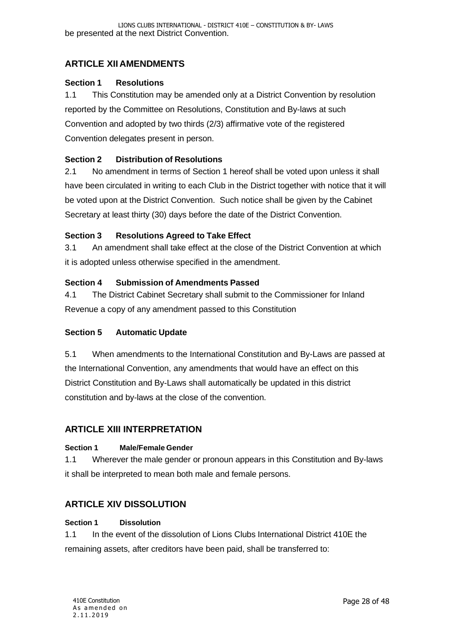## <span id="page-28-0"></span>**ARTICLE XII AMENDMENTS**

#### <span id="page-28-1"></span>**Section 1 Resolutions**

1.1 This Constitution may be amended only at a District Convention by resolution reported by the Committee on Resolutions, Constitution and By-laws at such Convention and adopted by two thirds (2/3) affirmative vote of the registered Convention delegates present in person.

#### <span id="page-28-2"></span>**Section 2 Distribution of Resolutions**

2.1 No amendment in terms of Section 1 hereof shall be voted upon unless it shall have been circulated in writing to each Club in the District together with notice that it will be voted upon at the District Convention. Such notice shall be given by the Cabinet Secretary at least thirty (30) days before the date of the District Convention.

#### <span id="page-28-3"></span>**Section 3 Resolutions Agreed to Take Effect**

3.1 An amendment shall take effect at the close of the District Convention at which it is adopted unless otherwise specified in the amendment.

#### <span id="page-28-4"></span>**Section 4 Submission of Amendments Passed**

4.1 The District Cabinet Secretary shall submit to the Commissioner for Inland Revenue a copy of any amendment passed to this Constitution

#### <span id="page-28-5"></span>**Section 5 Automatic Update**

5.1 When amendments to the International Constitution and By-Laws are passed at the International Convention, any amendments that would have an effect on this District Constitution and By-Laws shall automatically be updated in this district constitution and by-laws at the close of the convention.

#### <span id="page-28-6"></span>**ARTICLE XIII INTERPRETATION**

#### **Section 1 Male/Female Gender**

1.1 Wherever the male gender or pronoun appears in this Constitution and By-laws it shall be interpreted to mean both male and female persons.

## <span id="page-28-7"></span>**ARTICLE XIV DISSOLUTION**

#### **Section 1 Dissolution**

1.1 In the event of the dissolution of Lions Clubs International District 410E the remaining assets, after creditors have been paid, shall be transferred to: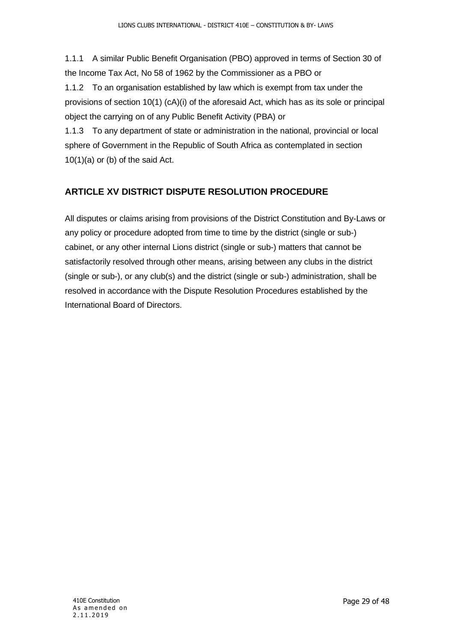1.1.1 A similar Public Benefit Organisation (PBO) approved in terms of Section 30 of the Income Tax Act, No 58 of 1962 by the Commissioner as a PBO or

1.1.2 To an organisation established by law which is exempt from tax under the provisions of section 10(1) (cA)(i) of the aforesaid Act, which has as its sole or principal object the carrying on of any Public Benefit Activity (PBA) or

1.1.3 To any department of state or administration in the national, provincial or local sphere of Government in the Republic of South Africa as contemplated in section 10(1)(a) or (b) of the said Act.

## <span id="page-29-0"></span>**ARTICLE XV DISTRICT DISPUTE RESOLUTION PROCEDURE**

All disputes or claims arising from provisions of the District Constitution and By-Laws or any policy or procedure adopted from time to time by the district (single or sub-) cabinet, or any other internal Lions district (single or sub-) matters that cannot be satisfactorily resolved through other means, arising between any clubs in the district (single or sub-), or any club(s) and the district (single or sub-) administration, shall be resolved in accordance with the Dispute Resolution Procedures established by the International Board of Directors.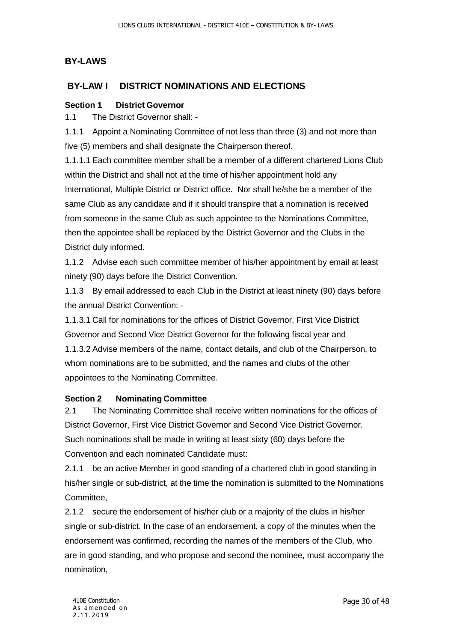## <span id="page-30-0"></span>**BY-LAWS**

## <span id="page-30-1"></span>**BY-LAW I DISTRICT NOMINATIONS AND ELECTIONS**

#### <span id="page-30-2"></span>**Section 1 District Governor**

1.1 The District Governor shall: -

1.1.1 Appoint a Nominating Committee of not less than three (3) and not more than five (5) members and shall designate the Chairperson thereof.

1.1.1.1 Each committee member shall be a member of a different chartered Lions Club within the District and shall not at the time of his/her appointment hold any International, Multiple District or District office. Nor shall he/she be a member of the same Club as any candidate and if it should transpire that a nomination is received from someone in the same Club as such appointee to the Nominations Committee, then the appointee shall be replaced by the District Governor and the Clubs in the District duly informed.

1.1.2 Advise each such committee member of his/her appointment by email at least ninety (90) days before the District Convention.

1.1.3 By email addressed to each Club in the District at least ninety (90) days before the annual District Convention: -

1.1.3.1 Call for nominations for the offices of District Governor, First Vice District Governor and Second Vice District Governor for the following fiscal year and 1.1.3.2 Advise members of the name, contact details, and club of the Chairperson, to whom nominations are to be submitted, and the names and clubs of the other appointees to the Nominating Committee.

#### <span id="page-30-3"></span>**Section 2 Nominating Committee**

2.1 The Nominating Committee shall receive written nominations for the offices of District Governor, First Vice District Governor and Second Vice District Governor. Such nominations shall be made in writing at least sixty (60) days before the Convention and each nominated Candidate must:

2.1.1 be an active Member in good standing of a chartered club in good standing in his/her single or sub-district, at the time the nomination is submitted to the Nominations Committee,

2.1.2 secure the endorsement of his/her club or a majority of the clubs in his/her single or sub-district. In the case of an endorsement, a copy of the minutes when the endorsement was confirmed, recording the names of the members of the Club, who are in good standing, and who propose and second the nominee, must accompany the nomination,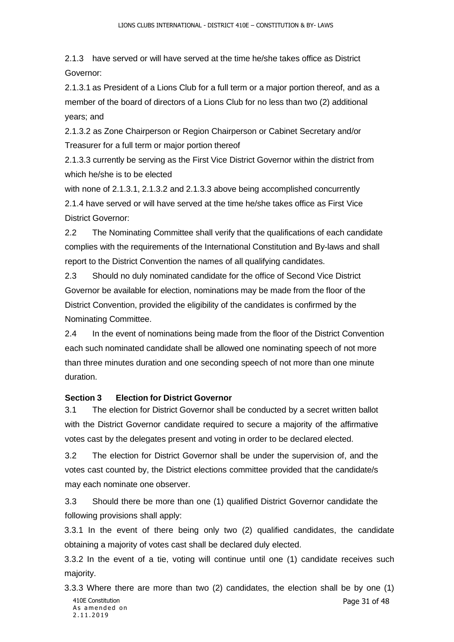2.1.3 have served or will have served at the time he/she takes office as District Governor:

2.1.3.1 as President of a Lions Club for a full term or a major portion thereof, and as a member of the board of directors of a Lions Club for no less than two (2) additional years; and

2.1.3.2 as Zone Chairperson or Region Chairperson or Cabinet Secretary and/or Treasurer for a full term or major portion thereof

2.1.3.3 currently be serving as the First Vice District Governor within the district from which he/she is to be elected

with none of 2.1.3.1, 2.1.3.2 and 2.1.3.3 above being accomplished concurrently 2.1.4 have served or will have served at the time he/she takes office as First Vice District Governor:

2.2 The Nominating Committee shall verify that the qualifications of each candidate complies with the requirements of the International Constitution and By-laws and shall report to the District Convention the names of all qualifying candidates.

2.3 Should no duly nominated candidate for the office of Second Vice District Governor be available for election, nominations may be made from the floor of the District Convention, provided the eligibility of the candidates is confirmed by the Nominating Committee.

2.4 In the event of nominations being made from the floor of the District Convention each such nominated candidate shall be allowed one nominating speech of not more than three minutes duration and one seconding speech of not more than one minute duration.

## <span id="page-31-0"></span>**Section 3 Election for District Governor**

3.1 The election for District Governor shall be conducted by a secret written ballot with the District Governor candidate required to secure a majority of the affirmative votes cast by the delegates present and voting in order to be declared elected.

3.2 The election for District Governor shall be under the supervision of, and the votes cast counted by, the District elections committee provided that the candidate/s may each nominate one observer.

3.3 Should there be more than one (1) qualified District Governor candidate the following provisions shall apply:

3.3.1 In the event of there being only two (2) qualified candidates, the candidate obtaining a majority of votes cast shall be declared duly elected.

3.3.2 In the event of a tie, voting will continue until one (1) candidate receives such majority.

410E Constitution Page 31 of 48 3.3.3 Where there are more than two (2) candidates, the election shall be by one (1)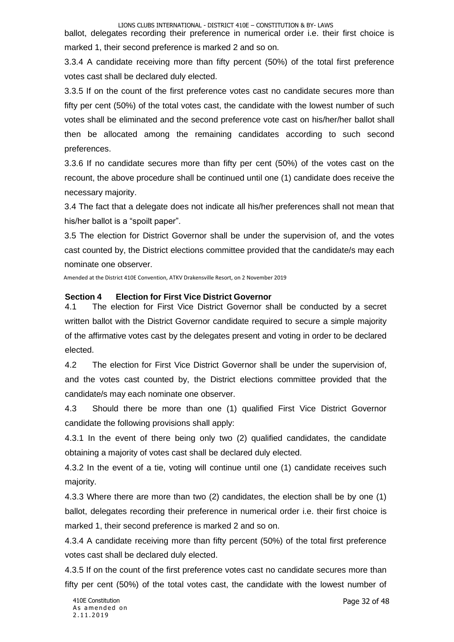ballot, delegates recording their preference in numerical order i.e. their first choice is marked 1, their second preference is marked 2 and so on.

3.3.4 A candidate receiving more than fifty percent (50%) of the total first preference votes cast shall be declared duly elected.

3.3.5 If on the count of the first preference votes cast no candidate secures more than fifty per cent (50%) of the total votes cast, the candidate with the lowest number of such votes shall be eliminated and the second preference vote cast on his/her/her ballot shall then be allocated among the remaining candidates according to such second preferences.

3.3.6 If no candidate secures more than fifty per cent (50%) of the votes cast on the recount, the above procedure shall be continued until one (1) candidate does receive the necessary majority.

3.4 The fact that a delegate does not indicate all his/her preferences shall not mean that his/her ballot is a "spoilt paper".

3.5 The election for District Governor shall be under the supervision of, and the votes cast counted by, the District elections committee provided that the candidate/s may each nominate one observer.

Amended at the District 410E Convention, ATKV Drakensville Resort, on 2 November 2019

#### <span id="page-32-0"></span>**Section 4 Election for First Vice District Governor**

4.1 The election for First Vice District Governor shall be conducted by a secret written ballot with the District Governor candidate required to secure a simple majority of the affirmative votes cast by the delegates present and voting in order to be declared elected.

4.2 The election for First Vice District Governor shall be under the supervision of, and the votes cast counted by, the District elections committee provided that the candidate/s may each nominate one observer.

4.3 Should there be more than one (1) qualified First Vice District Governor candidate the following provisions shall apply:

4.3.1 In the event of there being only two (2) qualified candidates, the candidate obtaining a majority of votes cast shall be declared duly elected.

4.3.2 In the event of a tie, voting will continue until one (1) candidate receives such majority.

4.3.3 Where there are more than two (2) candidates, the election shall be by one (1) ballot, delegates recording their preference in numerical order i.e. their first choice is marked 1, their second preference is marked 2 and so on.

4.3.4 A candidate receiving more than fifty percent (50%) of the total first preference votes cast shall be declared duly elected.

4.3.5 If on the count of the first preference votes cast no candidate secures more than fifty per cent (50%) of the total votes cast, the candidate with the lowest number of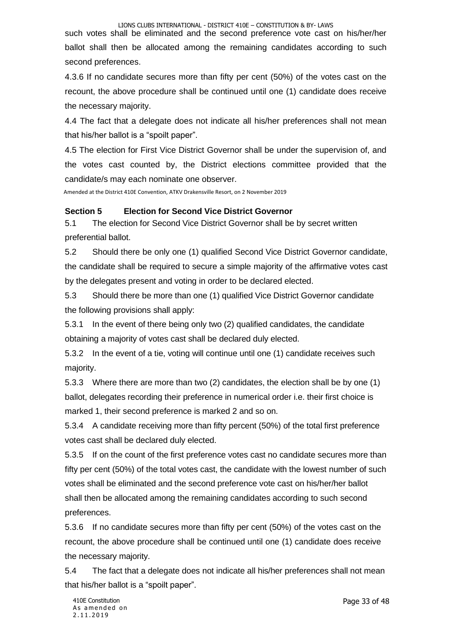such votes shall be eliminated and the second preference vote cast on his/her/her ballot shall then be allocated among the remaining candidates according to such second preferences.

4.3.6 If no candidate secures more than fifty per cent (50%) of the votes cast on the recount, the above procedure shall be continued until one (1) candidate does receive the necessary majority.

4.4 The fact that a delegate does not indicate all his/her preferences shall not mean that his/her ballot is a "spoilt paper".

4.5 The election for First Vice District Governor shall be under the supervision of, and the votes cast counted by, the District elections committee provided that the candidate/s may each nominate one observer.

Amended at the District 410E Convention, ATKV Drakensville Resort, on 2 November 2019

#### <span id="page-33-0"></span>**Section 5 Election for Second Vice District Governor**

5.1 The election for Second Vice District Governor shall be by secret written preferential ballot.

5.2 Should there be only one (1) qualified Second Vice District Governor candidate, the candidate shall be required to secure a simple majority of the affirmative votes cast by the delegates present and voting in order to be declared elected.

5.3 Should there be more than one (1) qualified Vice District Governor candidate the following provisions shall apply:

5.3.1 In the event of there being only two (2) qualified candidates, the candidate obtaining a majority of votes cast shall be declared duly elected.

5.3.2 In the event of a tie, voting will continue until one (1) candidate receives such majority.

5.3.3 Where there are more than two (2) candidates, the election shall be by one (1) ballot, delegates recording their preference in numerical order i.e. their first choice is marked 1, their second preference is marked 2 and so on.

5.3.4 A candidate receiving more than fifty percent (50%) of the total first preference votes cast shall be declared duly elected.

5.3.5 If on the count of the first preference votes cast no candidate secures more than fifty per cent (50%) of the total votes cast, the candidate with the lowest number of such votes shall be eliminated and the second preference vote cast on his/her/her ballot shall then be allocated among the remaining candidates according to such second preferences.

5.3.6 If no candidate secures more than fifty per cent (50%) of the votes cast on the recount, the above procedure shall be continued until one (1) candidate does receive the necessary majority.

5.4 The fact that a delegate does not indicate all his/her preferences shall not mean that his/her ballot is a "spoilt paper".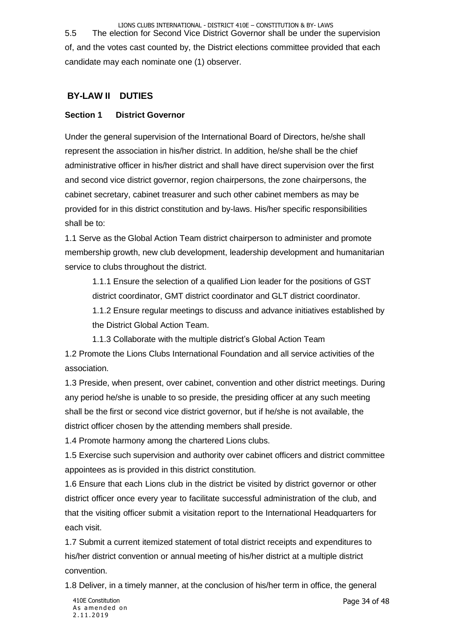LIONS CLUBS INTERNATIONAL - DISTRICT 410E – CONSTITUTION & BY- LAWS 5.5 The election for Second Vice District Governor shall be under the supervision of, and the votes cast counted by, the District elections committee provided that each candidate may each nominate one (1) observer.

## <span id="page-34-0"></span>**BY-LAW II DUTIES**

## <span id="page-34-1"></span>**Section 1 District Governor**

Under the general supervision of the International Board of Directors, he/she shall represent the association in his/her district. In addition, he/she shall be the chief administrative officer in his/her district and shall have direct supervision over the first and second vice district governor, region chairpersons, the zone chairpersons, the cabinet secretary, cabinet treasurer and such other cabinet members as may be provided for in this district constitution and by-laws. His/her specific responsibilities shall be to:

1.1 Serve as the Global Action Team district chairperson to administer and promote membership growth, new club development, leadership development and humanitarian service to clubs throughout the district.

1.1.1 Ensure the selection of a qualified Lion leader for the positions of GST district coordinator, GMT district coordinator and GLT district coordinator.

1.1.2 Ensure regular meetings to discuss and advance initiatives established by the District Global Action Team.

1.1.3 Collaborate with the multiple district's Global Action Team

1.2 Promote the Lions Clubs International Foundation and all service activities of the association.

1.3 Preside, when present, over cabinet, convention and other district meetings. During any period he/she is unable to so preside, the presiding officer at any such meeting shall be the first or second vice district governor, but if he/she is not available, the district officer chosen by the attending members shall preside.

1.4 Promote harmony among the chartered Lions clubs.

1.5 Exercise such supervision and authority over cabinet officers and district committee appointees as is provided in this district constitution.

1.6 Ensure that each Lions club in the district be visited by district governor or other district officer once every year to facilitate successful administration of the club, and that the visiting officer submit a visitation report to the International Headquarters for each visit.

1.7 Submit a current itemized statement of total district receipts and expenditures to his/her district convention or annual meeting of his/her district at a multiple district convention.

1.8 Deliver, in a timely manner, at the conclusion of his/her term in office, the general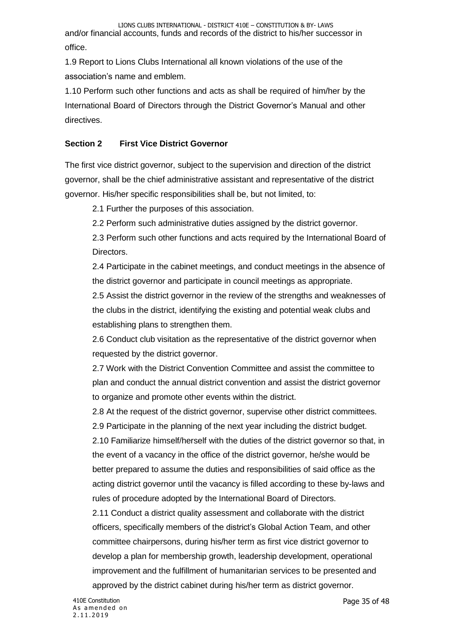1.9 Report to Lions Clubs International all known violations of the use of the association's name and emblem.

1.10 Perform such other functions and acts as shall be required of him/her by the International Board of Directors through the District Governor's Manual and other directives.

## <span id="page-35-0"></span>**Section 2 First Vice District Governor**

The first vice district governor, subject to the supervision and direction of the district governor, shall be the chief administrative assistant and representative of the district governor. His/her specific responsibilities shall be, but not limited, to:

2.1 Further the purposes of this association.

2.2 Perform such administrative duties assigned by the district governor.

2.3 Perform such other functions and acts required by the International Board of Directors.

2.4 Participate in the cabinet meetings, and conduct meetings in the absence of the district governor and participate in council meetings as appropriate.

2.5 Assist the district governor in the review of the strengths and weaknesses of the clubs in the district, identifying the existing and potential weak clubs and establishing plans to strengthen them.

2.6 Conduct club visitation as the representative of the district governor when requested by the district governor.

2.7 Work with the District Convention Committee and assist the committee to plan and conduct the annual district convention and assist the district governor to organize and promote other events within the district.

2.8 At the request of the district governor, supervise other district committees. 2.9 Participate in the planning of the next year including the district budget. 2.10 Familiarize himself/herself with the duties of the district governor so that, in the event of a vacancy in the office of the district governor, he/she would be better prepared to assume the duties and responsibilities of said office as the acting district governor until the vacancy is filled according to these by-laws and rules of procedure adopted by the International Board of Directors.

2.11 Conduct a district quality assessment and collaborate with the district officers, specifically members of the district's Global Action Team, and other committee chairpersons, during his/her term as first vice district governor to develop a plan for membership growth, leadership development, operational improvement and the fulfillment of humanitarian services to be presented and approved by the district cabinet during his/her term as district governor.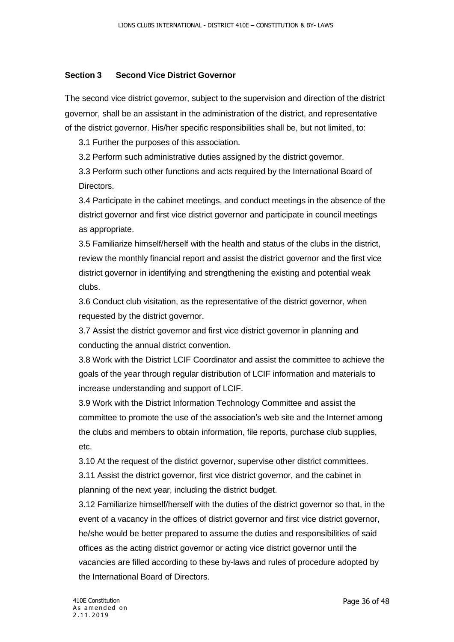#### <span id="page-36-0"></span>**Section 3 Second Vice District Governor**

The second vice district governor, subject to the supervision and direction of the district governor, shall be an assistant in the administration of the district, and representative of the district governor. His/her specific responsibilities shall be, but not limited, to:

3.1 Further the purposes of this association.

3.2 Perform such administrative duties assigned by the district governor.

3.3 Perform such other functions and acts required by the International Board of Directors.

3.4 Participate in the cabinet meetings, and conduct meetings in the absence of the district governor and first vice district governor and participate in council meetings as appropriate.

3.5 Familiarize himself/herself with the health and status of the clubs in the district, review the monthly financial report and assist the district governor and the first vice district governor in identifying and strengthening the existing and potential weak clubs.

3.6 Conduct club visitation, as the representative of the district governor, when requested by the district governor.

3.7 Assist the district governor and first vice district governor in planning and conducting the annual district convention.

3.8 Work with the District LCIF Coordinator and assist the committee to achieve the goals of the year through regular distribution of LCIF information and materials to increase understanding and support of LCIF.

3.9 Work with the District Information Technology Committee and assist the committee to promote the use of the association's web site and the Internet among the clubs and members to obtain information, file reports, purchase club supplies, etc.

3.10 At the request of the district governor, supervise other district committees.

3.11 Assist the district governor, first vice district governor, and the cabinet in planning of the next year, including the district budget.

3.12 Familiarize himself/herself with the duties of the district governor so that, in the event of a vacancy in the offices of district governor and first vice district governor, he/she would be better prepared to assume the duties and responsibilities of said offices as the acting district governor or acting vice district governor until the vacancies are filled according to these by-laws and rules of procedure adopted by the International Board of Directors.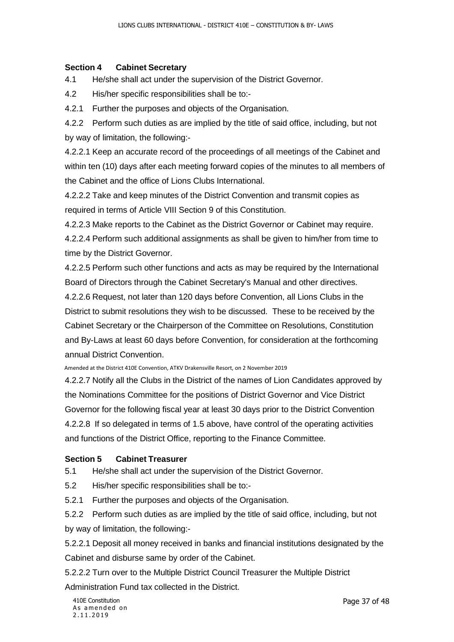#### <span id="page-37-0"></span>**Section 4 Cabinet Secretary**

4.1 He/she shall act under the supervision of the District Governor.

4.2 His/her specific responsibilities shall be to:-

4.2.1 Further the purposes and objects of the Organisation.

4.2.2 Perform such duties as are implied by the title of said office, including, but not by way of limitation, the following:-

4.2.2.1 Keep an accurate record of the proceedings of all meetings of the Cabinet and within ten (10) days after each meeting forward copies of the minutes to all members of the Cabinet and the office of Lions Clubs International.

4.2.2.2 Take and keep minutes of the District Convention and transmit copies as required in terms of Article VIII Section 9 of this Constitution.

4.2.2.3 Make reports to the Cabinet as the District Governor or Cabinet may require.

4.2.2.4 Perform such additional assignments as shall be given to him/her from time to time by the District Governor.

4.2.2.5 Perform such other functions and acts as may be required by the International Board of Directors through the Cabinet Secretary's Manual and other directives.

4.2.2.6 Request, not later than 120 days before Convention, all Lions Clubs in the District to submit resolutions they wish to be discussed. These to be received by the Cabinet Secretary or the Chairperson of the Committee on Resolutions, Constitution and By-Laws at least 60 days before Convention, for consideration at the forthcoming annual District Convention.

Amended at the District 410E Convention, ATKV Drakensville Resort, on 2 November 2019

4.2.2.7 Notify all the Clubs in the District of the names of Lion Candidates approved by the Nominations Committee for the positions of District Governor and Vice District Governor for the following fiscal year at least 30 days prior to the District Convention 4.2.2.8 If so delegated in terms of 1.5 above, have control of the operating activities and functions of the District Office, reporting to the Finance Committee.

#### <span id="page-37-1"></span>**Section 5 Cabinet Treasurer**

5.1 He/she shall act under the supervision of the District Governor.

5.2 His/her specific responsibilities shall be to:-

5.2.1 Further the purposes and objects of the Organisation.

5.2.2 Perform such duties as are implied by the title of said office, including, but not by way of limitation, the following:-

5.2.2.1 Deposit all money received in banks and financial institutions designated by the Cabinet and disburse same by order of the Cabinet.

5.2.2.2 Turn over to the Multiple District Council Treasurer the Multiple District

Administration Fund tax collected in the District.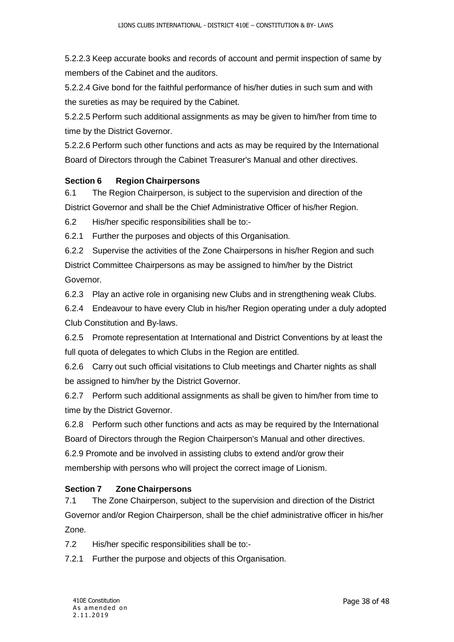5.2.2.3 Keep accurate books and records of account and permit inspection of same by members of the Cabinet and the auditors.

5.2.2.4 Give bond for the faithful performance of his/her duties in such sum and with the sureties as may be required by the Cabinet.

5.2.2.5 Perform such additional assignments as may be given to him/her from time to time by the District Governor.

5.2.2.6 Perform such other functions and acts as may be required by the International Board of Directors through the Cabinet Treasurer's Manual and other directives.

#### <span id="page-38-0"></span>**Section 6 Region Chairpersons**

6.1 The Region Chairperson, is subject to the supervision and direction of the District Governor and shall be the Chief Administrative Officer of his/her Region.

6.2 His/her specific responsibilities shall be to:-

6.2.1 Further the purposes and objects of this Organisation.

6.2.2 Supervise the activities of the Zone Chairpersons in his/her Region and such District Committee Chairpersons as may be assigned to him/her by the District Governor.

6.2.3 Play an active role in organising new Clubs and in strengthening weak Clubs.

6.2.4 Endeavour to have every Club in his/her Region operating under a duly adopted Club Constitution and By-laws.

6.2.5 Promote representation at International and District Conventions by at least the full quota of delegates to which Clubs in the Region are entitled.

6.2.6 Carry out such official visitations to Club meetings and Charter nights as shall be assigned to him/her by the District Governor.

6.2.7 Perform such additional assignments as shall be given to him/her from time to time by the District Governor.

6.2.8 Perform such other functions and acts as may be required by the International Board of Directors through the Region Chairperson's Manual and other directives. 6.2.9 Promote and be involved in assisting clubs to extend and/or grow their membership with persons who will project the correct image of Lionism.

#### <span id="page-38-1"></span>**Section 7 Zone Chairpersons**

7.1 The Zone Chairperson, subject to the supervision and direction of the District Governor and/or Region Chairperson, shall be the chief administrative officer in his/her Zone.

7.2 His/her specific responsibilities shall be to:-

7.2.1 Further the purpose and objects of this Organisation.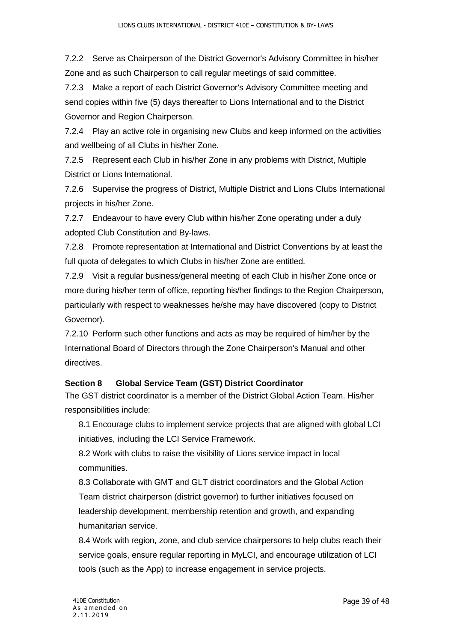7.2.2 Serve as Chairperson of the District Governor's Advisory Committee in his/her Zone and as such Chairperson to call regular meetings of said committee.

7.2.3 Make a report of each District Governor's Advisory Committee meeting and send copies within five (5) days thereafter to Lions International and to the District Governor and Region Chairperson.

7.2.4 Play an active role in organising new Clubs and keep informed on the activities and wellbeing of all Clubs in his/her Zone.

7.2.5 Represent each Club in his/her Zone in any problems with District, Multiple District or Lions International.

7.2.6 Supervise the progress of District, Multiple District and Lions Clubs International projects in his/her Zone.

7.2.7 Endeavour to have every Club within his/her Zone operating under a duly adopted Club Constitution and By-laws.

7.2.8 Promote representation at International and District Conventions by at least the full quota of delegates to which Clubs in his/her Zone are entitled.

7.2.9 Visit a regular business/general meeting of each Club in his/her Zone once or more during his/her term of office, reporting his/her findings to the Region Chairperson, particularly with respect to weaknesses he/she may have discovered (copy to District Governor).

7.2.10 Perform such other functions and acts as may be required of him/her by the International Board of Directors through the Zone Chairperson's Manual and other directives.

## <span id="page-39-0"></span>**Section 8 Global Service Team (GST) District Coordinator**

The GST district coordinator is a member of the District Global Action Team. His/her responsibilities include:

8.1 Encourage clubs to implement service projects that are aligned with global LCI initiatives, including the LCI Service Framework.

8.2 Work with clubs to raise the visibility of Lions service impact in local communities.

8.3 Collaborate with GMT and GLT district coordinators and the Global Action Team district chairperson (district governor) to further initiatives focused on leadership development, membership retention and growth, and expanding humanitarian service.

8.4 Work with region, zone, and club service chairpersons to help clubs reach their service goals, ensure regular reporting in MyLCI, and encourage utilization of LCI tools (such as the App) to increase engagement in service projects.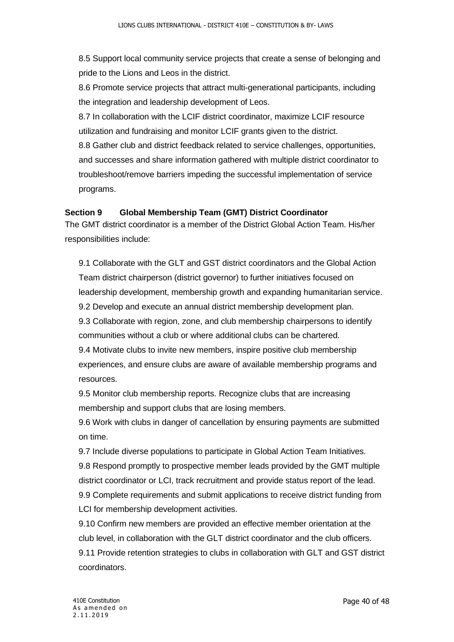8.5 Support local community service projects that create a sense of belonging and pride to the Lions and Leos in the district.

8.6 Promote service projects that attract multi-generational participants, including the integration and leadership development of Leos.

8.7 In collaboration with the LCIF district coordinator, maximize LCIF resource utilization and fundraising and monitor LCIF grants given to the district. 8.8 Gather club and district feedback related to service challenges, opportunities, and successes and share information gathered with multiple district coordinator to troubleshoot/remove barriers impeding the successful implementation of service programs.

#### <span id="page-40-0"></span>**Section 9 Global Membership Team (GMT) District Coordinator**

The GMT district coordinator is a member of the District Global Action Team. His/her responsibilities include:

9.1 Collaborate with the GLT and GST district coordinators and the Global Action Team district chairperson (district governor) to further initiatives focused on leadership development, membership growth and expanding humanitarian service. 9.2 Develop and execute an annual district membership development plan. 9.3 Collaborate with region, zone, and club membership chairpersons to identify communities without a club or where additional clubs can be chartered. 9.4 Motivate clubs to invite new members, inspire positive club membership experiences, and ensure clubs are aware of available membership programs and resources.

9.5 Monitor club membership reports. Recognize clubs that are increasing membership and support clubs that are losing members.

9.6 Work with clubs in danger of cancellation by ensuring payments are submitted on time.

9.7 Include diverse populations to participate in Global Action Team Initiatives. 9.8 Respond promptly to prospective member leads provided by the GMT multiple district coordinator or LCI, track recruitment and provide status report of the lead. 9.9 Complete requirements and submit applications to receive district funding from LCI for membership development activities.

9.10 Confirm new members are provided an effective member orientation at the club level, in collaboration with the GLT district coordinator and the club officers. 9.11 Provide retention strategies to clubs in collaboration with GLT and GST district coordinators.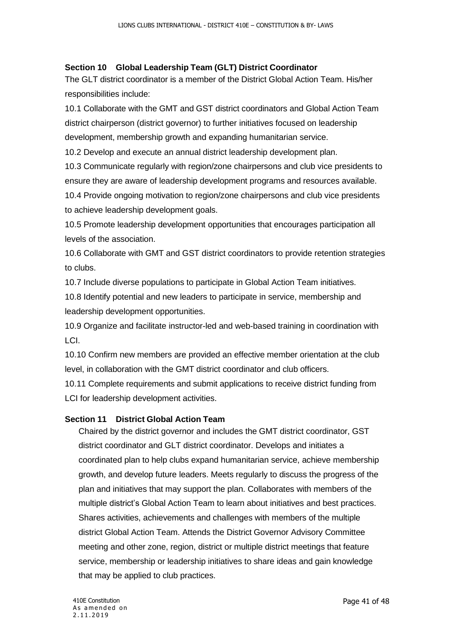#### <span id="page-41-0"></span>**Section 10 Global Leadership Team (GLT) District Coordinator**

The GLT district coordinator is a member of the District Global Action Team. His/her responsibilities include:

10.1 Collaborate with the GMT and GST district coordinators and Global Action Team district chairperson (district governor) to further initiatives focused on leadership development, membership growth and expanding humanitarian service.

10.2 Develop and execute an annual district leadership development plan.

10.3 Communicate regularly with region/zone chairpersons and club vice presidents to ensure they are aware of leadership development programs and resources available.

10.4 Provide ongoing motivation to region/zone chairpersons and club vice presidents to achieve leadership development goals.

10.5 Promote leadership development opportunities that encourages participation all levels of the association.

10.6 Collaborate with GMT and GST district coordinators to provide retention strategies to clubs.

10.7 Include diverse populations to participate in Global Action Team initiatives.

10.8 Identify potential and new leaders to participate in service, membership and leadership development opportunities.

10.9 Organize and facilitate instructor-led and web-based training in coordination with LCI.

10.10 Confirm new members are provided an effective member orientation at the club level, in collaboration with the GMT district coordinator and club officers.

10.11 Complete requirements and submit applications to receive district funding from LCI for leadership development activities.

#### <span id="page-41-1"></span>**Section 11 District Global Action Team**

Chaired by the district governor and includes the GMT district coordinator, GST district coordinator and GLT district coordinator. Develops and initiates a coordinated plan to help clubs expand humanitarian service, achieve membership growth, and develop future leaders. Meets regularly to discuss the progress of the plan and initiatives that may support the plan. Collaborates with members of the multiple district's Global Action Team to learn about initiatives and best practices. Shares activities, achievements and challenges with members of the multiple district Global Action Team. Attends the District Governor Advisory Committee meeting and other zone, region, district or multiple district meetings that feature service, membership or leadership initiatives to share ideas and gain knowledge that may be applied to club practices.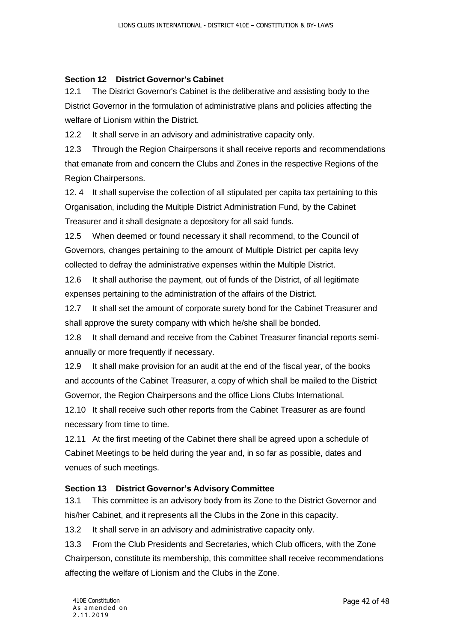#### <span id="page-42-0"></span>**Section 12 District Governor's Cabinet**

12.1 The District Governor's Cabinet is the deliberative and assisting body to the District Governor in the formulation of administrative plans and policies affecting the welfare of Lionism within the District.

12.2 It shall serve in an advisory and administrative capacity only.

12.3 Through the Region Chairpersons it shall receive reports and recommendations that emanate from and concern the Clubs and Zones in the respective Regions of the Region Chairpersons.

12. 4 It shall supervise the collection of all stipulated per capita tax pertaining to this Organisation, including the Multiple District Administration Fund, by the Cabinet Treasurer and it shall designate a depository for all said funds.

12.5 When deemed or found necessary it shall recommend, to the Council of Governors, changes pertaining to the amount of Multiple District per capita levy collected to defray the administrative expenses within the Multiple District.

12.6 It shall authorise the payment, out of funds of the District, of all legitimate expenses pertaining to the administration of the affairs of the District.

12.7 It shall set the amount of corporate surety bond for the Cabinet Treasurer and shall approve the surety company with which he/she shall be bonded.

12.8 It shall demand and receive from the Cabinet Treasurer financial reports semiannually or more frequently if necessary.

12.9 It shall make provision for an audit at the end of the fiscal year, of the books and accounts of the Cabinet Treasurer, a copy of which shall be mailed to the District Governor, the Region Chairpersons and the office Lions Clubs International.

12.10 It shall receive such other reports from the Cabinet Treasurer as are found necessary from time to time.

12.11 At the first meeting of the Cabinet there shall be agreed upon a schedule of Cabinet Meetings to be held during the year and, in so far as possible, dates and venues of such meetings.

#### <span id="page-42-1"></span>**Section 13 District Governor's Advisory Committee**

13.1 This committee is an advisory body from its Zone to the District Governor and his/her Cabinet, and it represents all the Clubs in the Zone in this capacity.

13.2 It shall serve in an advisory and administrative capacity only.

13.3 From the Club Presidents and Secretaries, which Club officers, with the Zone Chairperson, constitute its membership, this committee shall receive recommendations affecting the welfare of Lionism and the Clubs in the Zone.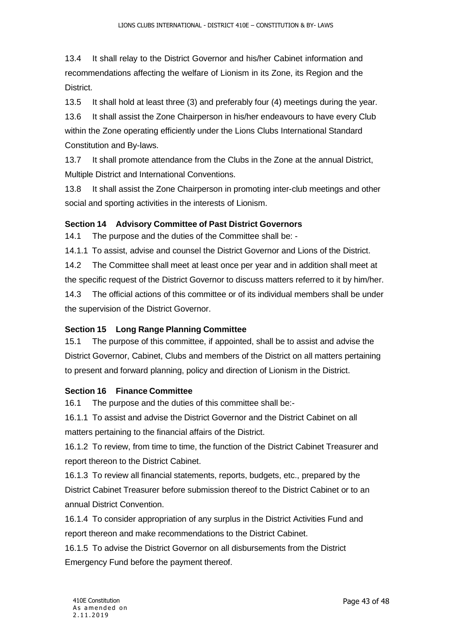13.4 It shall relay to the District Governor and his/her Cabinet information and recommendations affecting the welfare of Lionism in its Zone, its Region and the District.

13.5 It shall hold at least three (3) and preferably four (4) meetings during the year.

13.6 It shall assist the Zone Chairperson in his/her endeavours to have every Club within the Zone operating efficiently under the Lions Clubs International Standard Constitution and By-laws.

13.7 It shall promote attendance from the Clubs in the Zone at the annual District, Multiple District and International Conventions.

13.8 It shall assist the Zone Chairperson in promoting inter-club meetings and other social and sporting activities in the interests of Lionism.

## <span id="page-43-0"></span>**Section 14 Advisory Committee of Past District Governors**

14.1 The purpose and the duties of the Committee shall be: -

14.1.1 To assist, advise and counsel the District Governor and Lions of the District.

14.2 The Committee shall meet at least once per year and in addition shall meet at the specific request of the District Governor to discuss matters referred to it by him/her. 14.3 The official actions of this committee or of its individual members shall be under the supervision of the District Governor.

## <span id="page-43-1"></span>**Section 15 Long Range Planning Committee**

15.1 The purpose of this committee, if appointed, shall be to assist and advise the District Governor, Cabinet, Clubs and members of the District on all matters pertaining to present and forward planning, policy and direction of Lionism in the District.

#### <span id="page-43-2"></span>**Section 16 Finance Committee**

16.1 The purpose and the duties of this committee shall be:-

16.1.1 To assist and advise the District Governor and the District Cabinet on all matters pertaining to the financial affairs of the District.

16.1.2 To review, from time to time, the function of the District Cabinet Treasurer and report thereon to the District Cabinet.

16.1.3 To review all financial statements, reports, budgets, etc., prepared by the District Cabinet Treasurer before submission thereof to the District Cabinet or to an annual District Convention.

16.1.4 To consider appropriation of any surplus in the District Activities Fund and report thereon and make recommendations to the District Cabinet.

16.1.5 To advise the District Governor on all disbursements from the District Emergency Fund before the payment thereof.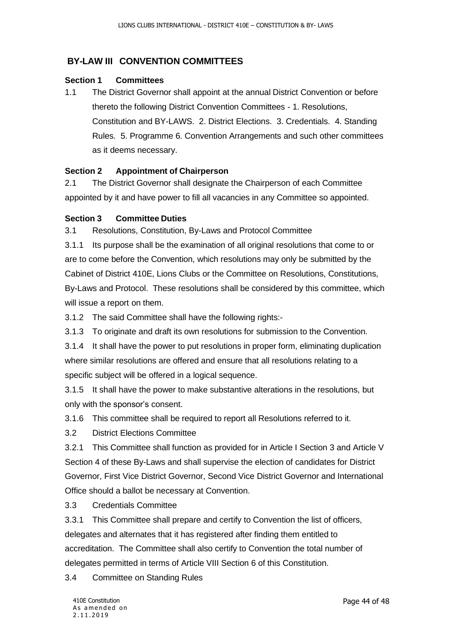## <span id="page-44-0"></span>**BY-LAW III CONVENTION COMMITTEES**

#### <span id="page-44-1"></span>**Section 1 Committees**

1.1 The District Governor shall appoint at the annual District Convention or before thereto the following District Convention Committees - 1. Resolutions, Constitution and BY-LAWS. 2. District Elections. 3. Credentials. 4. Standing Rules. 5. Programme 6. Convention Arrangements and such other committees as it deems necessary.

#### <span id="page-44-2"></span>**Section 2 Appointment of Chairperson**

2.1 The District Governor shall designate the Chairperson of each Committee appointed by it and have power to fill all vacancies in any Committee so appointed.

#### <span id="page-44-3"></span>**Section 3 Committee Duties**

3.1 Resolutions, Constitution, By-Laws and Protocol Committee

3.1.1 Its purpose shall be the examination of all original resolutions that come to or are to come before the Convention, which resolutions may only be submitted by the Cabinet of District 410E, Lions Clubs or the Committee on Resolutions, Constitutions, By-Laws and Protocol. These resolutions shall be considered by this committee, which will issue a report on them.

3.1.2 The said Committee shall have the following rights:-

3.1.3 To originate and draft its own resolutions for submission to the Convention.

3.1.4 It shall have the power to put resolutions in proper form, eliminating duplication where similar resolutions are offered and ensure that all resolutions relating to a specific subject will be offered in a logical sequence.

3.1.5 It shall have the power to make substantive alterations in the resolutions, but only with the sponsor's consent.

3.1.6 This committee shall be required to report all Resolutions referred to it.

3.2 District Elections Committee

3.2.1 This Committee shall function as provided for in Article I Section 3 and Article V Section 4 of these By-Laws and shall supervise the election of candidates for District Governor, First Vice District Governor, Second Vice District Governor and International Office should a ballot be necessary at Convention.

3.3 Credentials Committee

3.3.1 This Committee shall prepare and certify to Convention the list of officers, delegates and alternates that it has registered after finding them entitled to accreditation. The Committee shall also certify to Convention the total number of delegates permitted in terms of Article VIII Section 6 of this Constitution.

3.4 Committee on Standing Rules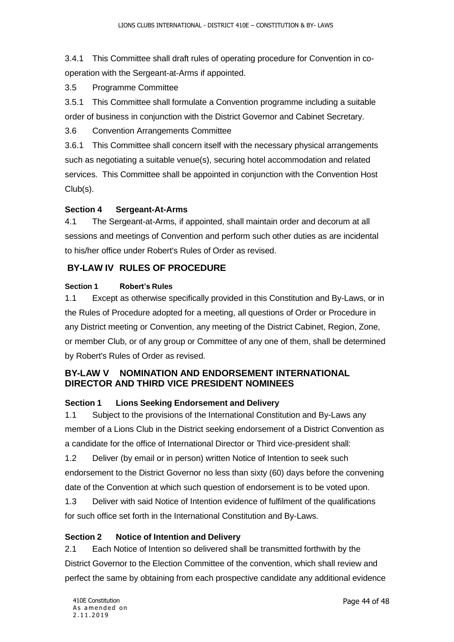3.4.1 This Committee shall draft rules of operating procedure for Convention in cooperation with the Sergeant-at-Arms if appointed.

3.5 Programme Committee

3.5.1 This Committee shall formulate a Convention programme including a suitable order of business in conjunction with the District Governor and Cabinet Secretary.

3.6 Convention Arrangements Committee

3.6.1 This Committee shall concern itself with the necessary physical arrangements such as negotiating a suitable venue(s), securing hotel accommodation and related services. This Committee shall be appointed in conjunction with the Convention Host Club(s).

## <span id="page-45-0"></span>**Section 4 Sergeant-At-Arms**

4.1 The Sergeant-at-Arms, if appointed, shall maintain order and decorum at all sessions and meetings of Convention and perform such other duties as are incidental to his/her office under Robert's Rules of Order as revised.

## <span id="page-45-1"></span>**BY-LAW IV RULES OF PROCEDURE**

#### **Section 1 Robert's Rules**

1.1 Except as otherwise specifically provided in this Constitution and By-Laws, or in the Rules of Procedure adopted for a meeting, all questions of Order or Procedure in any District meeting or Convention, any meeting of the District Cabinet, Region, Zone, or member Club, or of any group or Committee of any one of them, shall be determined by Robert's Rules of Order as revised.

## <span id="page-45-2"></span>**BY-LAW V NOMINATION AND ENDORSEMENT INTERNATIONAL DIRECTOR AND THIRD VICE PRESIDENT NOMINEES**

#### <span id="page-45-3"></span>**Section 1 Lions Seeking Endorsement and Delivery**

1.1 Subject to the provisions of the International Constitution and By-Laws any member of a Lions Club in the District seeking endorsement of a District Convention as a candidate for the office of International Director or Third vice-president shall:

1.2 Deliver (by email or in person) written Notice of Intention to seek such endorsement to the District Governor no less than sixty (60) days before the convening date of the Convention at which such question of endorsement is to be voted upon.

1.3 Deliver with said Notice of Intention evidence of fulfilment of the qualifications for such office set forth in the International Constitution and By-Laws.

#### <span id="page-45-4"></span>**Section 2 Notice of Intention and Delivery**

2.1 Each Notice of Intention so delivered shall be transmitted forthwith by the District Governor to the Election Committee of the convention, which shall review and perfect the same by obtaining from each prospective candidate any additional evidence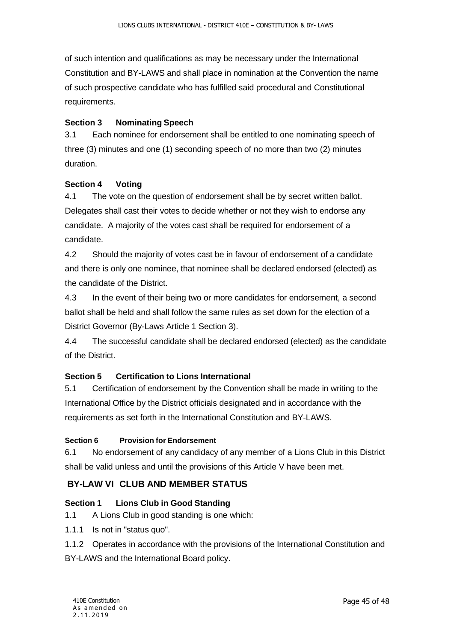of such intention and qualifications as may be necessary under the International Constitution and BY-LAWS and shall place in nomination at the Convention the name of such prospective candidate who has fulfilled said procedural and Constitutional requirements.

#### <span id="page-46-0"></span>**Section 3 Nominating Speech**

3.1 Each nominee for endorsement shall be entitled to one nominating speech of three (3) minutes and one (1) seconding speech of no more than two (2) minutes duration.

#### <span id="page-46-1"></span>**Section 4 Voting**

4.1 The vote on the question of endorsement shall be by secret written ballot. Delegates shall cast their votes to decide whether or not they wish to endorse any candidate. A majority of the votes cast shall be required for endorsement of a candidate.

4.2 Should the majority of votes cast be in favour of endorsement of a candidate and there is only one nominee, that nominee shall be declared endorsed (elected) as the candidate of the District.

4.3 In the event of their being two or more candidates for endorsement, a second ballot shall be held and shall follow the same rules as set down for the election of a District Governor (By-Laws Article 1 Section 3).

4.4 The successful candidate shall be declared endorsed (elected) as the candidate of the District.

#### <span id="page-46-2"></span>**Section 5 Certification to Lions International**

5.1 Certification of endorsement by the Convention shall be made in writing to the International Office by the District officials designated and in accordance with the requirements as set forth in the International Constitution and BY-LAWS.

#### **Section 6 Provision for Endorsement**

6.1 No endorsement of any candidacy of any member of a Lions Club in this District shall be valid unless and until the provisions of this Article V have been met.

#### <span id="page-46-3"></span>**BY-LAW VI CLUB AND MEMBER STATUS**

#### <span id="page-46-4"></span>**Section 1 Lions Club in Good Standing**

- 1.1 A Lions Club in good standing is one which:
- 1.1.1 Is not in "status quo".

1.1.2 Operates in accordance with the provisions of the International Constitution and BY-LAWS and the International Board policy.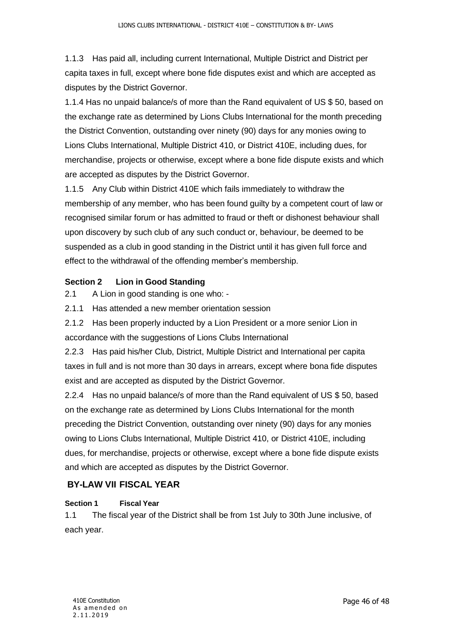1.1.3 Has paid all, including current International, Multiple District and District per capita taxes in full, except where bone fide disputes exist and which are accepted as disputes by the District Governor.

1.1.4 Has no unpaid balance/s of more than the Rand equivalent of US \$ 50, based on the exchange rate as determined by Lions Clubs International for the month preceding the District Convention, outstanding over ninety (90) days for any monies owing to Lions Clubs International, Multiple District 410, or District 410E, including dues, for merchandise, projects or otherwise, except where a bone fide dispute exists and which are accepted as disputes by the District Governor.

1.1.5 Any Club within District 410E which fails immediately to withdraw the membership of any member, who has been found guilty by a competent court of law or recognised similar forum or has admitted to fraud or theft or dishonest behaviour shall upon discovery by such club of any such conduct or, behaviour, be deemed to be suspended as a club in good standing in the District until it has given full force and effect to the withdrawal of the offending member's membership.

#### <span id="page-47-0"></span>**Section 2 Lion in Good Standing**

2.1 A Lion in good standing is one who: -

2.1.1 Has attended a new member orientation session

2.1.2 Has been properly inducted by a Lion President or a more senior Lion in accordance with the suggestions of Lions Clubs International

2.2.3 Has paid his/her Club, District, Multiple District and International per capita taxes in full and is not more than 30 days in arrears, except where bona fide disputes exist and are accepted as disputed by the District Governor.

2.2.4 Has no unpaid balance/s of more than the Rand equivalent of US \$ 50, based on the exchange rate as determined by Lions Clubs International for the month preceding the District Convention, outstanding over ninety (90) days for any monies owing to Lions Clubs International, Multiple District 410, or District 410E, including dues, for merchandise, projects or otherwise, except where a bone fide dispute exists and which are accepted as disputes by the District Governor.

#### <span id="page-47-1"></span>**BY-LAW VII FISCAL YEAR**

#### **Section 1 Fiscal Year**

1.1 The fiscal year of the District shall be from 1st July to 30th June inclusive, of each year.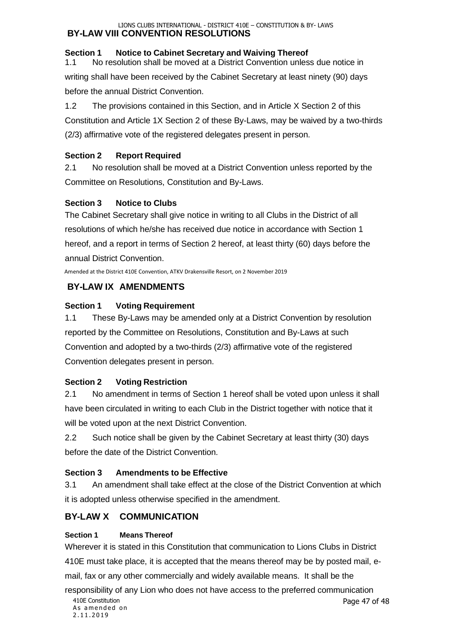#### <span id="page-48-0"></span>LIONS CLUBS INTERNATIONAL - DISTRICT 410E – CONSTITUTION & BY- LAWS **BY-LAW VIII CONVENTION RESOLUTIONS**

#### <span id="page-48-1"></span>**Section 1 Notice to Cabinet Secretary and Waiving Thereof**

1.1 No resolution shall be moved at a District Convention unless due notice in writing shall have been received by the Cabinet Secretary at least ninety (90) days before the annual District Convention.

1.2 The provisions contained in this Section, and in Article X Section 2 of this Constitution and Article 1X Section 2 of these By-Laws, may be waived by a two-thirds (2/3) affirmative vote of the registered delegates present in person.

#### <span id="page-48-2"></span>**Section 2 Report Required**

2.1 No resolution shall be moved at a District Convention unless reported by the Committee on Resolutions, Constitution and By-Laws.

#### <span id="page-48-3"></span>**Section 3 Notice to Clubs**

The Cabinet Secretary shall give notice in writing to all Clubs in the District of all resolutions of which he/she has received due notice in accordance with Section 1 hereof, and a report in terms of Section 2 hereof, at least thirty (60) days before the annual District Convention.

Amended at the District 410E Convention, ATKV Drakensville Resort, on 2 November 2019

## <span id="page-48-4"></span>**BY-LAW IX AMENDMENTS**

## <span id="page-48-5"></span>**Section 1 Voting Requirement**

1.1 These By-Laws may be amended only at a District Convention by resolution reported by the Committee on Resolutions, Constitution and By-Laws at such Convention and adopted by a two-thirds (2/3) affirmative vote of the registered Convention delegates present in person.

## <span id="page-48-6"></span>**Section 2 Voting Restriction**

2.1 No amendment in terms of Section 1 hereof shall be voted upon unless it shall have been circulated in writing to each Club in the District together with notice that it will be voted upon at the next District Convention.

2.2 Such notice shall be given by the Cabinet Secretary at least thirty (30) days before the date of the District Convention.

## <span id="page-48-7"></span>**Section 3 Amendments to be Effective**

3.1 An amendment shall take effect at the close of the District Convention at which it is adopted unless otherwise specified in the amendment.

## <span id="page-48-8"></span>**BY-LAW X COMMUNICATION**

#### **Section 1 Means Thereof**

Wherever it is stated in this Constitution that communication to Lions Clubs in District 410E must take place, it is accepted that the means thereof may be by posted mail, email, fax or any other commercially and widely available means. It shall be the

responsibility of any Lion who does not have access to the preferred communication